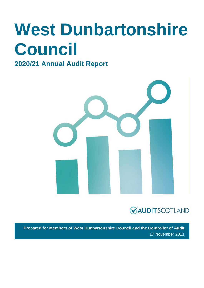# **West Dunbartonshire Council**

### **2020/21 Annual Audit Report**





**Prepared for Members of West Dunbartonshire Council and the Controller of Audit** 17 November 2021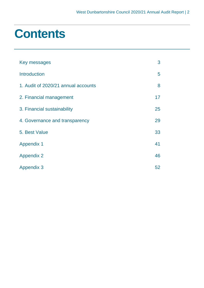## **Contents**

| Key messages                        | 3  |
|-------------------------------------|----|
| <b>Introduction</b>                 | 5  |
| 1. Audit of 2020/21 annual accounts | 8  |
| 2. Financial management             | 17 |
| 3. Financial sustainability         | 25 |
| 4. Governance and transparency      | 29 |
| 5. Best Value                       | 33 |
| <b>Appendix 1</b>                   | 41 |
| <b>Appendix 2</b>                   | 46 |
| <b>Appendix 3</b>                   | 52 |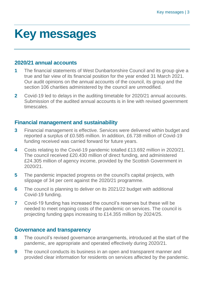## <span id="page-2-0"></span>**Key messages**

### **2020/21 annual accounts**

- **1** The financial statements of West Dunbartonshire Council and its group give a true and fair view of its financial position for the year ended 31 March 2021. Our audit opinions on the annual accounts of the council, its group and the section 106 charities administered by the council are unmodified.
- **2** Covid-19 led to delays in the auditing timetable for 2020/21 annual accounts. Submission of the audited annual accounts is in line with revised government timescales.

#### **Financial management and sustainability**

- **3** Financial management is effective. Services were delivered within budget and reported a surplus of £0.585 million. In addition, £6.738 million of Covid-19 funding received was carried forward for future years.
- **4** Costs relating to the Covid-19 pandemic totalled £13.692 million in 2020/21. The council received £20.430 million of direct funding, and administered £24.305 million of agency income, provided by the Scottish Government in 2020/21.
- **5** The pandemic impacted progress on the council's capital projects, with slippage of 34 per cent against the 2020/21 programme.
- **6** The council is planning to deliver on its 2021/22 budget with additional Covid-19 funding.
- **7** Covid-19 funding has increased the council's reserves but these will be needed to meet ongoing costs of the pandemic on services. The council is projecting funding gaps increasing to £14.355 million by 2024/25.

#### **Governance and transparency**

- **8** The council's revised governance arrangements, introduced at the start of the pandemic, are appropriate and operated effectively during 2020/21.
- **9** The council conducts its business in an open and transparent manner and provided clear information for residents on services affected by the pandemic.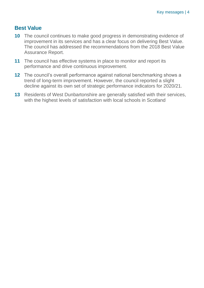### **Best Value**

- **10** The council continues to make good progress in demonstrating evidence of improvement in its services and has a clear focus on delivering Best Value. The council has addressed the recommendations from the 2018 Best Value Assurance Report.
- **11** The council has effective systems in place to monitor and report its performance and drive continuous improvement.
- **12** The council's overall performance against national benchmarking shows a trend of long-term improvement. However, the council reported a slight decline against its own set of strategic performance indicators for 2020/21.
- **13** Residents of West Dunbartonshire are generally satisfied with their services, with the highest levels of satisfaction with local schools in Scotland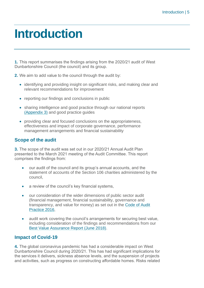## <span id="page-4-0"></span>**Introduction**

**1.** This report summarises the findings arising from the 2020/21 audit of West Dunbartonshire Council (the council) and its group.

**2.** We aim to add value to the council through the audit by:

- identifying and providing insight on significant risks, and making clear and relevant recommendations for improvement
- reporting our findings and conclusions in public
- sharing intelligence and good practice through our national reports [\(Appendix 3\)](#page-51-0) and good practice guides
- providing clear and focused conclusions on the appropriateness, effectiveness and impact of corporate governance, performance management arrangements and financial sustainability

#### **Scope of the audit**

**3.** The scope of the audit was set out in our 2020/21 Annual Audit Plan presented to the March 2021 meeting of the Audit Committee. This report comprises the findings from:

- our audit of the council and its group's annual accounts, and the statement of accounts of the Section 106 charities administered by the council,
- a review of the council's key financial systems,
- our consideration of the wider dimensions of public sector audit (financial management, financial sustainability, governance and transparency, and value for money) as set out in the [Code of Audit](http://www.audit-scotland.gov.uk/report/code-of-audit-practice-2016)  [Practice 2016,](http://www.audit-scotland.gov.uk/report/code-of-audit-practice-2016)
- audit work covering the council's arrangements for securing best value, including consideration of the findings and recommendations from our [Best Value Assurance Report \(June 2018\).](https://www.audit-scotland.gov.uk/report/best-value-assurance-report-west-dunbartonshire-council)

#### **Impact of Covid-19**

**4.** The global coronavirus pandemic has had a considerable impact on West Dunbartonshire Council during 2020/21. This has had significant implications for the services it delivers, sickness absence levels, and the suspension of projects and activities, such as progress on constructing affordable homes. Risks related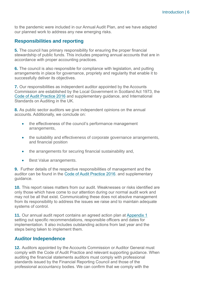to the pandemic were included in our Annual Audit Plan, and we have adapted our planned work to address any new emerging risks.

#### **Responsibilities and reporting**

**5.** The council has primary responsibility for ensuring the proper financial stewardship of public funds. This includes preparing annual accounts that are in accordance with proper accounting practices.

**6.** The council is also responsible for compliance with legislation, and putting arrangements in place for governance, propriety and regularity that enable it to successfully deliver its objectives.

**7.** Our responsibilities as independent auditor appointed by the Accounts Commission are established by the Local Government in Scotland Act 1973, the [Code of Audit Practice 2016](http://www.audit-scotland.gov.uk/report/code-of-audit-practice-2016) and supplementary guidance, and International Standards on Auditing in the UK.

**8.** As public sector auditors we give independent opinions on the annual accounts. Additionally, we conclude on:

- the effectiveness of the council's performance management arrangements,
- the suitability and effectiveness of corporate governance arrangements, and financial position
- the arrangements for securing financial sustainability and,
- Best Value arrangements.

**9.** Further details of the respective responsibilities of management and the auditor can be found in the [Code of Audit Practice 2016.](http://www.audit-scotland.gov.uk/report/code-of-audit-practice-2016) and supplementary guidance.

**10.** This report raises matters from our audit. Weaknesses or risks identified are only those which have come to our attention during our normal audit work and may not be all that exist. Communicating these does not absolve management from its responsibility to address the issues we raise and to maintain adequate systems of control.

**11.** Our annual audit report contains an agreed action plan at [Appendix 1](#page-40-0) setting out specific recommendations, responsible officers and dates for implementation. It also includes outstanding actions from last year and the steps being taken to implement them.

#### **Auditor Independence**

**12.** Auditors appointed by the Accounts Commission or Auditor General must comply with the Code of Audit Practice and relevant supporting guidance. When auditing the financial statements auditors must comply with professional standards issued by the Financial Reporting Council and those of the professional accountancy bodies. We can confirm that we comply with the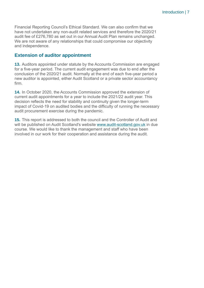Financial Reporting Council's Ethical Standard. We can also confirm that we have not undertaken any non-audit related services and therefore the 2020/21 audit fee of £276,780 as set out in our Annual Audit Plan remains unchanged. We are not aware of any relationships that could compromise our objectivity and independence.

#### **Extension of auditor appointment**

**13.** Auditors appointed under statute by the Accounts Commission are engaged for a five-year period. The current audit engagement was due to end after the conclusion of the 2020/21 audit. Normally at the end of each five-year period a new auditor is appointed, either Audit Scotland or a private sector accountancy firm.

**14.** In October 2020, the Accounts Commission approved the extension of current audit appointments for a year to include the 2021/22 audit year. This decision reflects the need for stability and continuity given the longer-term impact of Covid-19 on audited bodies and the difficulty of running the necessary audit procurement exercise during the pandemic.

**15.** This report is addressed to both the council and the Controller of Audit and will be published on Audit Scotland's website [www.audit-scotland.gov.uk](https://auditscotland.sharepoint.com/sites/WestDunbartonshireCouncil/WIP/Draft%20Reports/www.audit-scotland.gov.uk) in due course. We would like to thank the management and staff who have been involved in our work for their cooperation and assistance during the audit.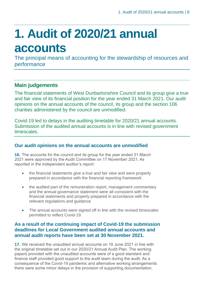# <span id="page-7-0"></span>**1. Audit of 2020/21 annual accounts**

The principal means of accounting for the stewardship of resources and performance

### **Main judgements**

The financial statements of West Dunbartonshire Council and its group give a true and fair view of its financial position for the year ended 31 March 2021. Our audit opinions on the annual accounts of the council, its group and the section 106 charities administered by the council are unmodified.

Covid-19 led to delays in the auditing timetable for 2020/21 annual accounts. Submission of the audited annual accounts is in line with revised government timescales.

#### **Our audit opinions on the annual accounts are unmodified**

**16.** The accounts for the council and its group for the year ended 31 March 2021 were approved by the Audit Committee on 17 November 2021. As reported in the independent auditor's report:

- the financial statements give a true and fair view and were properly prepared in accordance with the financial reporting framework
- the audited part of the remuneration report, management commentary and the annual governance statement were all consistent with the financial statements and properly prepared in accordance with the relevant regulations and guidance
- The annual accounts were signed off in line with the revised timescales permitted to reflect Covid-19

#### **As a result of the continuing impact of Covid-19 the submission deadlines for Local Government audited annual accounts and annual audit reports have been set at 30 November 2021.**

**17.** We received the unaudited annual accounts on 18 June 2021 in line with the original timetable set out in our 2020/21 Annual Audit Plan. The working papers provided with the unaudited accounts were of a good standard and finance staff provided good support to the audit team during the audit. As a consequence of the Covid-19 pandemic and alternative working arrangements there were some minor delays in the provision of supporting documentation.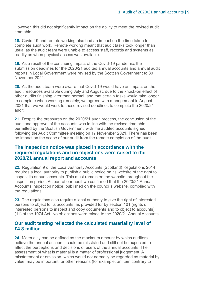However, this did not significantly impact on the ability to meet the revised audit timetable.

**18.** Covid-19 and remote working also had an impact on the time taken to complete audit work. Remote working meant that audit tasks took longer than usual as the audit team were unable to access staff, records and systems as readily as when physical access was available.

**19.** As a result of the continuing impact of the Covid-19 pandemic, the submission deadlines for the 2020/21 audited annual accounts and annual audit reports in Local Government were revised by the Scottish Government to 30 November 2021.

**20.** As the audit team were aware that Covid-19 would have an impact on the audit resources available during July and August, due to the knock-on effect of other audits finishing later than normal, and that certain tasks would take longer to complete when working remotely; we agreed with management in August 2021 that we would work to these revised deadlines to complete the 2020/21 audit.

**21.** Despite the pressures on the 2020/21 audit process, the conclusion of the audit and approval of the accounts was in line with the revised timetable permitted by the Scottish Government, with the audited accounts signed following the Audit Committee meeting on 17 November 2021. There has been no impact on the scope of our audit from the remote completion of the audit.

#### **The inspection notice was placed in accordance with the required regulations and no objections were raised to the 2020/21 annual report and accounts**

**22.** Regulation 9 of the Local Authority Accounts (Scotland) Regulations 2014 requires a local authority to publish a public notice on its website of the right to inspect its annual accounts. This must remain on the website throughout the inspection period. As part of our audit we confirmed that the 2020/21 Annual Accounts inspection notice, published on the council's website, complied with the regulations.

**23.** The regulations also require a local authority to give the right of interested persons to object to its accounts, as provided for by section 101 (rights of interested persons to inspect and copy documents and to object to accounts) (11) of the 1974 Act. No objections were raised to the 2020/21 Annual Accounts.

#### **Our audit testing reflected the calculated materiality level of £4.8 million**

**24.** Materiality can be defined as the maximum amount by which auditors believe the annual accounts could be misstated and still not be expected to affect the perceptions and decisions of users of the annual accounts. The assessment of what is material is a matter of professional judgement. A misstatement or omission, which would not normally be regarded as material by value, may be important for other reasons (for example, an item contrary to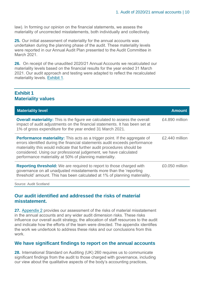law). In forming our opinion on the financial statements, we assess the materiality of uncorrected misstatements, both individually and collectively.

**25.** Our initial assessment of materiality for the annual accounts was undertaken during the planning phase of the audit. These materiality levels were reported in our Annual Audit Plan presented to the Audit Committee in March 2021.

**26.** On receipt of the unaudited 2020/21 Annual Accounts we recalculated our materiality levels based on the financial results for the year ended 31 March 2021. Our audit approach and testing were adapted to reflect the recalculated materiality levels. [Exhibit 1.](#page-9-0)

#### <span id="page-9-0"></span>**Exhibit 1 Materiality values**

| <b>Materiality level</b>                                                                                                                                                                                                                                                                                                                                                   | <b>Amount</b>  |
|----------------------------------------------------------------------------------------------------------------------------------------------------------------------------------------------------------------------------------------------------------------------------------------------------------------------------------------------------------------------------|----------------|
| <b>Overall materiality:</b> This is the figure we calculated to assess the overall<br>impact of audit adjustments on the financial statements. It has been set at<br>1% of gross expenditure for the year ended 31 March 2021.                                                                                                                                             | £4.890 million |
| <b>Performance materiality:</b> This acts as a trigger point. If the aggregate of<br>errors identified during the financial statements audit exceeds performance<br>materiality this would indicate that further audit procedures should be<br>considered. Using our professional judgement, we have calculated<br>performance materiality at 50% of planning materiality. | £2,440 million |
| Reporting threshold: We are required to report to those charged with<br>governance on all unadjusted misstatements more than the 'reporting<br>threshold' amount. This has been calculated at 1% of planning materiality.                                                                                                                                                  | £0.050 million |
| Source: Audit Scotland                                                                                                                                                                                                                                                                                                                                                     |                |

#### **Our audit identified and addressed the risks of material misstatement.**

**27.** Appendix 2 [provides our assessment of the risks of material misstatement](#page-45-0)  [in the annual accounts and any wider audit dimension risks. These risks](#page-45-0)  [influence our overall audit strategy, the allocation of staff resources to the audit](#page-45-0)  [and indicate how the efforts of the team were directed. The appendix identifies](#page-45-0)  [the work we undertook to address these risks and our conclusions from this](#page-45-0)  [work.](#page-45-0) 

#### **We have significant findings to report on the annual accounts**

**28.** International Standard on Auditing (UK) 260 requires us to communicate significant findings from the audit to those charged with governance, including our view about the qualitative aspects of the body's accounting practices,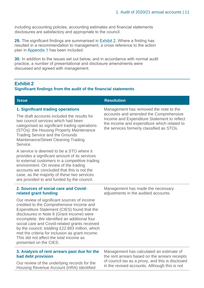including accounting policies, accounting estimates and financial statements disclosures are satisfactory and appropriate to the council.

**29.** The significant findings are summarised in [Exhibit 2.](#page-10-0) Where a finding has resulted in a recommendation to management, a cross reference to the action plan i[n Appendix 1](#page-40-0) has been included.

**30.** In addition to the issues set out below, and in accordance with normal audit practice, a number of presentational and disclosure amendments were discussed and agreed with management.

#### <span id="page-10-0"></span>**Exhibit 2 Significant findings from the audit of the financial statements**

| <b>Issue</b>                                                                                                                                                                                                                                                                                                                                                                                                                                                                                            | <b>Resolution</b>                                                                                                                                                                                                           |
|---------------------------------------------------------------------------------------------------------------------------------------------------------------------------------------------------------------------------------------------------------------------------------------------------------------------------------------------------------------------------------------------------------------------------------------------------------------------------------------------------------|-----------------------------------------------------------------------------------------------------------------------------------------------------------------------------------------------------------------------------|
| 1. Significant trading operations<br>The draft accounts included the results for<br>two council services which had been<br>categorised as significant trading operations<br>(STOs): the Housing Property Maintenance<br><b>Trading Service and the Grounds</b><br>Maintenance/Street Cleaning Trading<br>Service.                                                                                                                                                                                       | Management has removed the note to the<br>accounts and amended the Comprehensive<br>Income and Expenditure Statement to reflect<br>the income and expenditure which related to<br>the services formerly classified as STOs. |
| A service is deemed to be a STO where it<br>provides a significant amount of its services<br>to external customers in a competitive trading<br>environment. On review of the trading<br>accounts we concluded that this is not the<br>case, as the majority of these two services<br>are provided to and funded by the council.                                                                                                                                                                         |                                                                                                                                                                                                                             |
| 2. Sources of social care and Covid-<br>related grant funding<br>Our review of significant sources of income<br>credited to the Comprehensive Income and<br>Expenditure Statement (CIES) found that the<br>disclosures in Note 8 (Grant Income) were<br>incomplete. We identified an additional four<br>social care and Covid-related grants received<br>by the council, totalling £22.883 million, which<br>met the criteria for inclusion as grant income.<br>This did not affect the total income as | Management has made the necessary<br>adjustments in the audited accounts.                                                                                                                                                   |
| presented on the CIES.<br>3. Analysis of rent arrears past due for the<br>bad debt provision<br>the contract of the contract of the contract of the contract of the contract of the contract of the contract of                                                                                                                                                                                                                                                                                         | Management has calculated an estimate of<br>the rent arrears based on the arrears receipts<br>of council tax as a proxy and this is disclosed                                                                               |

Our review of the underlying records for the Housing Revenue Account (HRA) identified

of council tax as a proxy, and this is disclosed in the revised accounts. Although this is not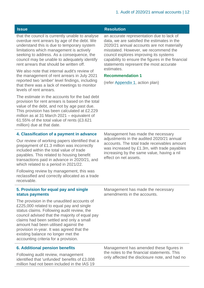| <b>Issue</b>                                                                                                                                                                                                                                                                                                                                                                                                                                                                                                                                                  | <b>Resolution</b>                                                                                                                                                                                                                                                                                                                                                                                   |
|---------------------------------------------------------------------------------------------------------------------------------------------------------------------------------------------------------------------------------------------------------------------------------------------------------------------------------------------------------------------------------------------------------------------------------------------------------------------------------------------------------------------------------------------------------------|-----------------------------------------------------------------------------------------------------------------------------------------------------------------------------------------------------------------------------------------------------------------------------------------------------------------------------------------------------------------------------------------------------|
| that the council is currently unable to analyse<br>overdue rent arrears by age of the debt. We<br>understand this is due to temporary system<br>limitations which management is actively<br>seeking to address. As a consequence, the<br>council may be unable to adequately identify<br>rent arrears that should be written off.<br>We also note that internal audit's review of<br>the management of rent arrears in July 2021<br>reported two 'amber' level findings, including<br>that there was a lack of meetings to monitor<br>levels of rent arrears. | an accurate representation due to lack of<br>data, we are satisfied the estimates in the<br>2020/21 annual accounts are not materially<br>misstated. However, we recommend the<br>council explores improving its systems<br>capability to ensure the figures in the financial<br>statements represent the most accurate<br>estimates.<br><b>Recommendation 1</b><br>(refer Appendix 1, action plan) |
| The estimate in the accounts for the bad debt<br>provision for rent arrears is based on the total<br>value of the debt, and not by age past due.<br>This provision has been calculated at £2.229<br>million as at 31 March 2021 - equivalent of<br>61.55% of the total value of rents (£3.621<br>million) due at that date.                                                                                                                                                                                                                                   |                                                                                                                                                                                                                                                                                                                                                                                                     |
| 4. Classification of a payment in advance                                                                                                                                                                                                                                                                                                                                                                                                                                                                                                                     | Management has made the necessary                                                                                                                                                                                                                                                                                                                                                                   |
| Our review of working papers identified that a<br>prepayment of £1.3 million was incorrectly<br>included within the total value of trade<br>payables. This related to housing benefit<br>transactions paid in advance in 2020/21, and<br>which related to a period in 2021/22.                                                                                                                                                                                                                                                                                | adjustments in the audited 2020/21 annual<br>accounts. The total trade receivables amount<br>was increased by £1.3m, with trade payables<br>increasing by the same value, having a nil<br>effect on net assets.                                                                                                                                                                                     |
| Following review by management, this was<br>reclassified and correctly allocated as a trade<br>receivable.                                                                                                                                                                                                                                                                                                                                                                                                                                                    |                                                                                                                                                                                                                                                                                                                                                                                                     |
| 5. Provision for equal pay and single<br>status payments                                                                                                                                                                                                                                                                                                                                                                                                                                                                                                      | Management has made the necessary<br>amendments in the accounts.                                                                                                                                                                                                                                                                                                                                    |
| The provision in the unaudited accounts of<br>£225,000 related to equal pay and single<br>status claims. Following audit review, the                                                                                                                                                                                                                                                                                                                                                                                                                          |                                                                                                                                                                                                                                                                                                                                                                                                     |

**6. Additional pension benefits**

existing balance no longer met the accounting criteria for a provision.

Following audit review, management identified that 'unfunded' benefits of £3.008 million had not been included in the IAS 19

council advised that the majority of equal pay claims had been settled and only a small amount had been utilised against the provision in-year. It was agreed that the

> Management has amended these figures in the notes to the financial statements. This only affected the disclosure note, and had no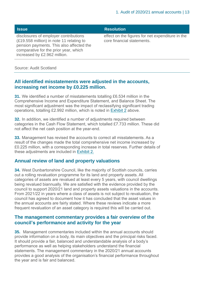disclosures of employer contributions (£19.558 million) in note 11 relating to pension payments. This also affected the comparative for the prior year, which increased by £2.962 million.

#### **Issue Resolution**

effect on the figures for net expenditure in the core financial statements.

Source: Audit Scotland

#### **All identified misstatements were adjusted in the accounts, increasing net income by £0.225 million.**

**31.** We identified a number of misstatements totalling £6.534 million in the Comprehensive Income and Expenditure Statement, and Balance Sheet. The most significant adjustment was the impact of reclassifying significant trading operations, totalling £2.992 million, which is noted in Exhibit 2 above.

**32.** In addition, we identified a number of adjustments required between categories in the Cash Flow Statement, which totalled £7.733 million. These did not affect the net cash position at the year-end.

**33.** Management has revised the accounts to correct all misstatements. As a result of the changes made the total comprehensive net income increased by £0.225 million, with a corresponding increase in total reserves. Further details of these adjustments are included in Exhibit 2.

#### **Annual review of land and property valuations**

**34.** West Dunbartonshire Council, like the majority of Scottish councils, carries out a rolling revaluation programme for its land and property assets. All categories of assets are revalued at least every 5 years, with council dwellings being revalued biannually. We are satisfied with the evidence provided by the council to support 2020/21 land and property assets valuations in the accounts. From 2021/22 in years where a class of assets is not subject to revaluation, the council has agreed to document how it has concluded that the asset values in the annual accounts are fairly stated. Where these reviews indicate a more frequent revaluation of an asset category is required this will be carried out.

#### **The management commentary provides a fair overview of the council's performance and activity for the year**

**35.** Management commentaries included within the annual accounts should provide information on a body, its main objectives and the principal risks faced. It should provide a fair, balanced and understandable analysis of a body's performance as well as helping stakeholders understand the financial statements. The management commentary in the 2020/21 annual accounts provides a good analysis of the organisation's financial performance throughout the year and is fair and balanced.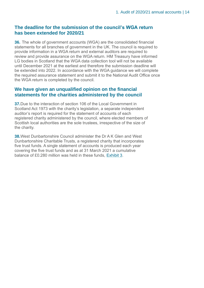#### **The deadline for the submission of the council's WGA return has been extended for 2020/21**

**36.** The whole of government accounts (WGA) are the consolidated financial statements for all branches of government in the UK. The council is required to provide information in a WGA return and external auditors are required to review and provide assurance on the WGA return. HM Treasury have informed LG bodies in Scotland that the WGA data collection tool will not be available until December 2021 at the earliest and therefore the submission deadline will be extended into 2022. In accordance with the WGA guidance we will complete the required assurance statement and submit it to the National Audit Office once the WGA return is completed by the council.

#### **We have given an unqualified opinion on the financial statements for the charities administered by the council**

**37.**Due to the interaction of section 106 of the Local Government in Scotland Act 1973 with the charity's legislation, a separate independent auditor's report is required for the statement of accounts of each registered charity administered by the council, where elected members of Scottish local authorities are the sole trustees, irrespective of the size of the charity.

**38.**West Dunbartonshire Council administer the Dr A K Glen and West Dunbartonshire Charitable Trusts, a registered charity that incorporates five trust funds. A single statement of accounts is produced each year covering the five trust funds and as at 31 March 2021 a cumulative balance of £0.280 million was held in these funds, Exhibit 3.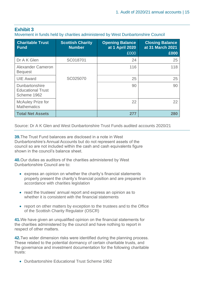#### **Exhibit 3**

Movement in funds held by charities administered by West Dunbartonshire Council

| <b>Charitable Trust</b><br><b>Fund</b>                    | <b>Scottish Charity</b><br><b>Number</b> | <b>Opening Balance</b><br>at 1 April 2020<br>£000 | <b>Closing Balance</b><br>at 31 March 2021<br>£000 |
|-----------------------------------------------------------|------------------------------------------|---------------------------------------------------|----------------------------------------------------|
| Dr A K Glen                                               | SC018701                                 | 24                                                | 25                                                 |
| <b>Alexander Cameron</b><br><b>Bequest</b>                |                                          | 116                                               | 118                                                |
| <b>UIE Award</b>                                          | SC025070                                 | 25                                                | 25                                                 |
| Dunbartonshire<br><b>Educational Trust</b><br>Scheme 1962 |                                          | 90                                                | 90                                                 |
| <b>McAuley Prize for</b><br><b>Mathematics</b>            |                                          | 22                                                | 22                                                 |
| <b>Total Net Assets</b>                                   |                                          | 277                                               | 280                                                |

Source: Dr A K Glen and West Dunbartonshire Trust Funds audited accounts 2020/21

**39.**The Trust Fund balances are disclosed in a note in West Dunbartonshire's Annual Accounts but do not represent assets of the council so are not included within the cash and cash equivalents figure shown in the council's balance sheet.

**40.**Our duties as auditors of the charities administered by West Dunbartonshire Council are to:

- express an opinion on whether the charity's financial statements properly present the charity's financial position and are prepared in accordance with charities legislation
- read the trustees' annual report and express an opinion as to whether it is consistent with the financial statements
- report on other matters by exception to the trustees and to the Office of the Scottish Charity Regulator (OSCR)

**41.**We have given an unqualified opinion on the financial statements for the charities administered by the council and have nothing to report in respect of other matters.

**42.**Two wider dimension risks were identified during the planning process. These related to the potential dormancy of certain charitable trusts, and the governance and investment documentation for the following charitable trusts:

• Dunbartonshire Educational Trust Scheme 1962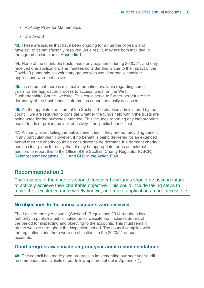- McAuley Prize for Mathematics
- UIE Award

**43.** These are issues that have been ongoing for a number of years and have still to be satisfactorily resolved. As a result, they are both included in the agreed action plan at [Appendix 1](#page-40-0)

**44.** None of the charitable trusts made any payments during 2020/21, and only received one application. The trustees consider this is due to the impact of the Covid-19 pandemic, as voluntary groups who would normally consider applications were not active.

**45.**It is noted that there is minimal information available regarding some trusts, or the application process to access funds, on the West Dunbartonshire Council website. This could serve to further perpetuate the dormancy of the trust funds if information cannot be easily accessed.

**46.** As the appointed auditors of the Section 106 charities administered by the council, we are required to consider whether the funds held within the trusts are being used for the purposes intended. This includes reporting any inappropriate use of funds or prolonged lack of activity - the 'public benefit' test.

**47.** A charity is not failing the public benefit test if they are not providing benefit in any particular year. However, if no benefit is being delivered for an extended period then the charity could be considered to be dormant. If a dormant charity has no clear plans to rectify that, it may be appropriate for us as external auditors to report this to the Office of the Scottish Charity Regulator (OSCR) Refer recommendations CH1 and CH2 in the Action Plan.

#### **Recommendation 1**

The trustees of the charities should consider how funds should be used in future to actively achieve their charitable objective. This could include taking steps to make their existence more widely known, and make applications more accessible

#### **No objections to the annual accounts were received**

The Local Authority Accounts (Scotland) Regulations 2014 require a local authority to publish a public notice on its website that includes details of the period for inspecting and objecting to the accounts. This must remain on the website throughout the inspection period. The council complied with the regulations and there were no objections to the 2020/21 annual accounts.

#### **Good progress was made on prior year audit recommendations**

**48.** The council has made good progress in implementing our prior year audit recommendations. Details of our follow-ups are set out in Appendix 1.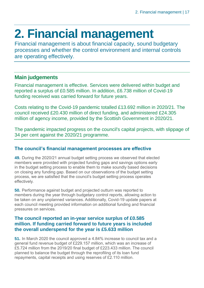# <span id="page-16-0"></span>**2. Financial management**

Financial management is about financial capacity, sound budgetary processes and whether the control environment and internal controls are operating effectively.

### **Main judgements**

Financial management is effective. Services were delivered within budget and reported a surplus of £0.585 million. In addition, £6.738 million of Covid-19 funding received was carried forward for future years.

Costs relating to the Covid-19 pandemic totalled £13.692 million in 2020/21. The council received £20.430 million of direct funding, and administered £24.305 million of agency income, provided by the Scottish Government in 2020/21.

The pandemic impacted progress on the council's capital projects, with slippage of 34 per cent against the 2020/21 programme.

#### **The council's financial management processes are effective**

**49.** During the 2020/21 annual budget setting process we observed that elected members were provided with projected funding gaps and savings options early in the budget setting process to enable them to make soundly based decisions on closing any funding gap. Based on our observations of the budget setting process, we are satisfied that the council's budget setting process operates effectively.

**50.** Performance against budget and projected outturn was reported to members during the year through budgetary control reports, allowing action to be taken on any unplanned variances. Additionally, Covid-19 update papers at each council meeting provided information on additional funding and financial pressures on services.

#### **The council reported an in-year service surplus of £0.585 million. If funding carried forward to future years is included the overall underspend for the year is £5.633 million**

**51.** In March 2020 the council approved a 4.84% increase to council tax and a general fund revenue budget of £229.157 million, which was an increase of £5.724 million from the 2019/20 final budget of £223.433 million. The council planned to balance the budget through the reprofiling of its loan fund repayments, capital receipts and using reserves of £2.110 million.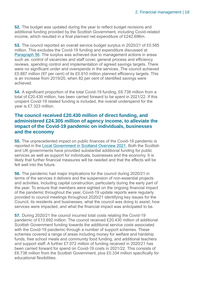**52.** The budget was updated during the year to reflect budget revisions and additional funding provided by the Scottish Government, including Covid-related income, which resulted in a final planned net expenditure of £242.696m.

**53.** The council reported an overall service budget surplus in 2020/21 of £0.585 million. This excludes the Covid-19 funding and expenditure discussed at Paragraph 56. The surplus was achieved due to management actions in areas such as: control of vacancies and staff cover, general process and efficiency reviews, spending control and implementation of agreed savings targets. There were no significant under and overspends in the services. The council achieved £0.887 million (97 per cent) of its £0.910 million planned efficiency targets. This is an increase from 2019/20, when 82 per cent of identified savings were achieved.

**54.** A significant proportion of the total Covid-19 funding, £6.738 million from a total of £20.430 million, has been carried forward to be spent in 2021/22. If this unspent Covid-19 related funding is included, the overall underspend for the year is £7.323 million.

#### **The council received £20.430 million of direct funding, and administered £24.305 million of agency income, to alleviate the impact of the Covid-19 pandemic on individuals, businesses and the economy**

**55.** The unprecedented impact on public finances of the Covid-19 pandemic is reported in the [Local Government in Scotland Overview 2021.](https://www.audit-scotland.gov.uk/report/local-government-in-scotland-overview-2021) Both the Scottish and UK governments have provided substantial additional funding for public services as well as support for individuals, businesses and the economy. It is likely that further financial measures will be needed and that the effects will be felt well into the future.

**56.** The pandemic had major implications for the council during 2020/21 in terms of the services it delivers and the suspension of non-essential projects and activities, including capital construction, particularly during the early part of the year. To ensure that members were sighted on the ongoing financial impact of the pandemic throughout the year, Covid-19 update reports were regularly provided to council meetings throughout 2020/21 identifying key issues for the Council, its residents and businesses, what the council was doing to assist, how services were impacted, and what the financial impact was anticipated to be.

**57.** During 2020/21 the council incurred total costs relating the Covid-19 pandemic of £13.692 million. The council received £20.430 million of additional Scottish Government funding towards the additional service costs associated with the Covid-19 pandemic through a number of support schemes. These schemes covered a range of areas including money for welfare and hardship funds, free school meals and community food funding, and additional teachers and support staff. A further £7.072 million of funding received in 2020/21 has been carried forward for spend on Covid-19 costs in 2021/22. This consists of £6.738 million from the Scottish Government, plus £0.334 million specifically for educational flexibilities.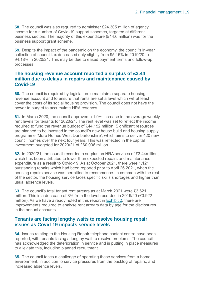**58.** The council was also required to administer £24.305 million of agency income for a number of Covid-19 support schemes, targeted at different business sectors. The majority of this expenditure (£14.6 million) was for the business support grant scheme.

**59.** Despite the impact of the pandemic on the economy, the council's in-year collection of council tax decreased only slightly from 95.15% in 2019/20 to 94.18% in 2020/21. This may be due to eased payment terms and follow-up processes.

#### **The housing revenue account reported a surplus of £3.44 million due to delays in repairs and maintenance caused by Covid-19**

**60.** The council is required by legislation to maintain a separate housing revenue account and to ensure that rents are set a level which will at least cover the costs of its social housing provision. The council does not have the power to budget to accumulate HRA reserves.

**61.** In March 2020, the council approved a 1.9% increase in the average weekly rent levels for tenants for 2020/21. The rent level was set to reflect the income required to fund the revenue budget of £44.152 million. Significant resources are planned to be invested in the council's new house build and housing supply programme 'More Homes West Dunbartonshire', which aims to deliver 420 new council homes over the next four years. This was reflected in the capital investment budgeted for 2020/21 of £60.006 million.

**62.** In 2020/21, the council recorded a surplus on HRA services of £3.44million, which has been attributed to lower than expected repairs and maintenance expenditure as a result to Covid-19. As at October 2021, there were 1,121 outstanding repairs which had been reported prior to April 26 2021, when the housing repairs service was permitted to recommence. In common with the rest of the sector, the housing service faces specific skills shortages and higher than usual absence levels.

**63.** The council's total tenant rent arrears as at March 2021 were £3.621 million. This is a decrease of 8% from the level recorded in 2019/20 (£3.922 million). As we have already noted in this report in Exhibit 2, there are improvements required to analyse rent arrears data by age for the disclosures in the annual accounts.

#### **Tenants are facing lengthy waits to resolve housing repair issues as Covid-19 impacts service levels**

**64.** Issues relating to the Housing Repair telephone contact centre have been reported, with tenants facing a lengthy wait to resolve problems. The council has acknowledged the deterioration in service and is putting in place measures to alleviate this, including planned recruitment.

**65.** The council faces a challenge of operating these services from a home environment, in addition to service pressures from the backlog of repairs, and increased absence levels.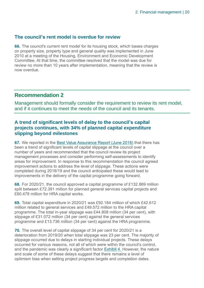#### **The council's rent model is overdue for review**

**66.** The council's current rent model for its housing stock, which bases charges on property size, property type and general quality was implemented in June 2010 at a meeting of the Housing, Environment and Economic Development Committee. At that time, the committee resolved that the model was due for review no more than 10 years after implementation, meaning that the review is now overdue.

### **Recommendation 2**

Management should formally consider the requirement to review its rent model, and if it continues to meet the needs of the council and its tenants.

#### **A trend of significant levels of delay to the council's capital projects continues, with 34% of planned capital expenditure slipping beyond milestones**

**67.** We reported in the [Best Value Assurance Report \(June 2018\)](https://www.audit-scotland.gov.uk/report/best-value-assurance-report-west-dunbartonshire-council) that there has been a trend of significant levels of capital slippage at the council over a number of years and recommended that the council review its project management processes and consider performing self-assessments to identify areas for improvement. In response to this recommendation the council agreed improvement actions to address the level of slippage. These actions were completed during 2018/19 and the council anticipated these would lead to improvements in the delivery of the capital programme going forward.

**68.** For 2020/21, the council approved a capital programme of £132.869 million split between £72.391 million for planned general services capital projects and £60.478 million for HRA capital works.

**69.** Total capital expenditure in 2020/21 was £92.184 million of which £42.612 million related to general services and £49.572 million to the HRA capital programme. The total in-year slippage was £44.808 million (34 per cent), with slippage of £31.072 million (34 per cent) against the general services programme and £13.736 million (34 per cent) against the HRA programme.

**70.** The overall level of capital slippage of 34 per cent for 2020/21 is a deterioration from 2019/20 when total slippage was 23 per cent. The majority of slippage occurred due to delays in starting individual projects. These delays occurred for various reasons, not all of which were within the council's control, and the pandemic was clearly a significant factor Exhibit 4. However, the nature and scale of some of these delays suggest that there remains a level of optimism bias when setting project progress targets and completion dates.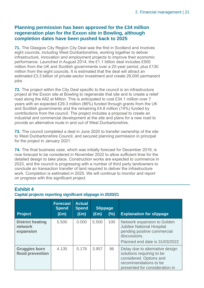#### **Planning permission has been approved for the £34 million regeneration plan for the Exxon site in Bowling, although completion dates have been pushed back to 2025**

**71.** The Glasgow City Region City Deal was the first in Scotland and involves eight councils, including West Dunbartonshire, working together to deliver infrastructure, innovation and employment projects to improve their economic performance. Launched in August 2014, the £1.1 billion deal includes £500 million from the UK and Scottish governments over a 20-year period, plus £130 million from the eight councils. It is estimated that the deal will attract an estimated £3.3 billion of private-sector investment and create 29,000 permanent iobs

**72.** The project within the City Deal specific to the council is an infrastructure project at the Exxon site at Bowling to regenerate that site and to create a relief road along the A82 at Milton. This is anticipated to cost £34.1 million over 7 years with an expected £29.3 million (86%) funded through grants from the UK and Scottish governments and the remaining £4.8 million (14%) funded by contributions from the council. The project includes a proposal to create an industrial and commercial development at the site and plans for a new road to provide an alternative route in and out of West Dunbartonshire.

**73.** The council completed a deal in June 2020 to transfer ownership of the site to West Dunbartonshire Council, and secured planning permission in principal for the project in January 2021.

**74.** The final business case, which was initially forecast for December 2019, is now forecast to be considered in November 2022 to allow sufficient time for the detailed design to take place. Construction works are expected to commence in 2023, and the council is progressing with a number of third party landowners to conclude an transaction transfer of land required to deliver the infrastructure work. Completion is estimated in 2025. We will continue to monitor and report on progress with this significant project.

#### **Project Forecast Spend Actual Spend Slippage (£m) (£m) (£m) (%) Explanation for slippage District heating network expansion** 5.500 0.000 5.500 100 Network expansion to Golden Jubilee National Hospital pending positive commercial discussions. Planned end date is 31/03/2022 **Gruggies burn flood prevention** 4.135 0.178 3.957 96 Delay due to alternative design solutions requiring to be considered. Options and recommendations to be presented for consideration in

#### **Exhibit 4 Capital projects reporting significant slippage in 2020/21**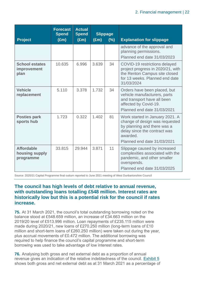| <b>Project</b>                                   | <b>Forecast</b><br><b>Spend</b><br>$(\text{Em})$ | <b>Actual</b><br><b>Spend</b><br>$(\text{Em})$ | <b>Slippage</b><br>$(\text{Em})$ | (%) | <b>Explanation for slippage</b>                                                                                                                                             |
|--------------------------------------------------|--------------------------------------------------|------------------------------------------------|----------------------------------|-----|-----------------------------------------------------------------------------------------------------------------------------------------------------------------------------|
|                                                  |                                                  |                                                |                                  |     | advance of the approval and<br>planning permissions.<br>Planned end date 31/03/2023                                                                                         |
| <b>School estates</b><br>improvement<br>plan     | 10.635                                           | 6.996                                          | 3.639                            | 34  | COVID-19 restrictions delayed<br>project progress in 2020/21, with<br>the Renton Campus site closed<br>for 13 weeks. Planned end date<br>31/03/2024                         |
| <b>Vehicle</b><br>replacement                    | 5.110                                            | 3.378                                          | 1.732                            | 34  | Orders have been placed, but<br>vehicle manufacturers, parts<br>and transport have all been<br>affected by Covid-19.<br>Planned end date 31/03/2021                         |
| <b>Posties park</b><br>sports hub                | 1.723                                            | 0.322                                          | 1.402                            | 81  | Work started in January 2021. A<br>change of design was requested<br>by planning and there was a<br>delay since the contract was<br>awarded.<br>Planned end date 31/03/2021 |
| <b>Affordable</b><br>housing supply<br>programme | 33.815                                           | 29.944                                         | 3.871                            | 11  | Slippage caused by increased<br>complexities associated with the<br>pandemic, and other smaller<br>overspends.<br>Planned end date 31/03/2025                               |

Source: 2020/21 Capital Programme final outturn reported to June 2021 meeting of West Dunbartonshire Council

#### **The council has high levels of debt relative to annual revenue, with outstanding loans totalling £548 million. Interest rates are historically low but this is a potential risk for the council if rates increase.**

**75.** At 31 March 2021, the council's total outstanding borrowing noted on the balance stood at £548.659 million, an increase of £34.663 million on the 2019/20 level of £513.996 million. Loan repayments of £235.115 million were made during 2020/21, new loans of £270.250 million (long-term loans of £10 million and short-term loans of £260.250 million) were taken out during the year, plus accrual movements of £0.472 million. The additional borrowing was required to help finance the council's capital programme and short-term borrowing was used to take advantage of low interest rates.

**76.** Analysing both gross and net external debt as a proportion of annual revenue gives an indication of the relative indebtedness of the council. Exhibit 5 shows both gross and net external debt as at 31 March 2021 as a percentage of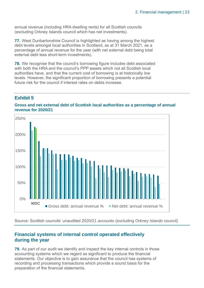annual revenue (including HRA dwelling rents) for all Scottish councils (excluding Orkney Islands council which has net investments).

**77.** West Dunbartonshire Council is highlighted as having among the highest debt levels amongst local authorities in Scotland, as at 31 March 2021, as a percentage of annual revenue for the year (with net external debt being total external debt less short-term investments).

**78.** We recognise that the council's borrowing figure includes debt associated with both the HRA and the council's PPP assets which not all Scottish local authorities have, and that the current cost of borrowing is at historically low levels. However, the significant proportion of borrowing presents a potential future risk for the council if interest rates on debts increase.

#### **Exhibit 5**





Source: Scottish councils' unaudited 2020/21 accounts (excluding Orkney Islands council)

#### **Financial systems of internal control operated effectively during the year**

**79.** As part of our audit we identify and inspect the key internal controls in those accounting systems which we regard as significant to produce the financial statements. Our objective is to gain assurance that the council has systems of recording and processing transactions which provide a sound basis for the preparation of the financial statements.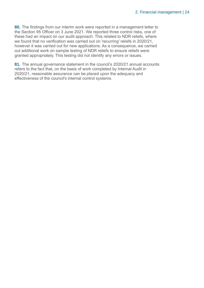**80.** The findings from our interim work were reported in a management letter to the Section 95 Officer on 3 June 2021. We reported three control risks, one of these had an impact on our audit approach. This related to NDR reliefs, where we found that no verification was carried out on 'recurring' reliefs in 2020/21, however it was carried out for new applications. As a consequence, we carried out additional work on sample testing of NDR reliefs to ensure reliefs were granted appropriately. This testing did not identify any errors or issues.

**81.** The annual governance statement in the council's 2020/21 annual accounts refers to the fact that, on the basis of work completed by Internal Audit in 2020/21, reasonable assurance can be placed upon the adequacy and effectiveness of the council's internal control systems.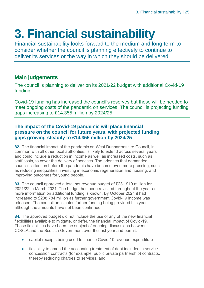## <span id="page-24-0"></span>**3. Financial sustainability**

Financial sustainability looks forward to the medium and long term to consider whether the council is planning effectively to continue to deliver its services or the way in which they should be delivered

### **Main judgements**

The council is planning to deliver on its 2021/22 budget with additional Covid-19 funding.

Covid-19 funding has increased the council's reserves but these will be needed to meet ongoing costs of the pandemic on services. The council is projecting funding gaps increasing to £14.355 million by 2024/25

#### **The impact of the Covid-19 pandemic will place financial pressure on the council for future years, with projected funding gaps growing steadily to £14.355 million by 2024/25**

**82.** The financial impact of the pandemic on West Dunbartonshire Council, in common with all other local authorities, is likely to extend across several years and could include a reduction in income as well as increased costs, such as staff costs, to cover the delivery of services. The priorities that demanded councils' attention before the pandemic have become even more pressing, such as reducing inequalities, investing in economic regeneration and housing, and improving outcomes for young people.

**83.** The council approved a total net revenue budget of £231.919 million for 2021/22 in March 2021. The budget has been revisited throughout the year as more information on additional funding is known. By October 2021 it had increased to £238.784 million as further government Covid-19 income was released. The council anticipates further funding being provided this year although the amounts have not been confirmed

**84.** The approved budget did not include the use of any of the new financial flexibilities available to mitigate, or defer, the financial impact of Covid-19. These flexibilities have been the subject of ongoing discussions between COSLA and the Scottish Government over the last year and permit:

- capital receipts being used to finance Covid-19 revenue expenditure
- flexibility to amend the accounting treatment of debt included in service concession contracts (for example, public private partnership) contracts, thereby reducing charges to services, and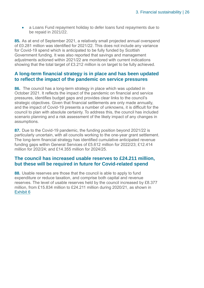• a Loans Fund repayment holiday to defer loans fund repayments due to be repaid in 2021/22.

**85.** As at end of September 2021, a relatively small projected annual overspend of £0.281 million was identified for 2021/22. This does not include any variance for Covid-19 spend which is anticipated to be fully funded by Scottish Government funding. It was also reported that savings and management adjustments actioned within 2021/22 are monitored with current indications showing that the total target of £3.212 million is on target to be fully achieved.

#### **A long-term financial strategy is in place and has been updated to reflect the impact of the pandemic on service pressures**

**86.** The council has a long-term strategy in place which was updated in October 2021. It reflects the impact of the pandemic on financial and service pressures, identifies budget gaps and provides clear links to the council's strategic objectives. Given that financial settlements are only made annually, and the impact of Covid-19 presents a number of unknowns, it is difficult for the council to plan with absolute certainty. To address this, the council has included scenario planning and a risk assessment of the likely impact of any changes in assumptions.

**87.** Due to the Covid-19 pandemic, the funding position beyond 2021/22 is particularly uncertain, with all councils working to the one-year grant settlement. The long-term financial strategy has identified cumulative anticipated revenue funding gaps within General Services of £5.612 million for 2022/23; £12.414 million for 202/24; and £14.355 million for 2024/25.

#### **The council has increased usable reserves to £24.211 million, but these will be required in future for Covid-related spend**

**88.** Usable reserves are those that the council is able to apply to fund expenditure or reduce taxation, and comprise both capital and revenue reserves. The level of usable reserves held by the council increased by £8.377 million, from £15.834 million to £24.211 million during 2020/21, as shown in Exhibit 6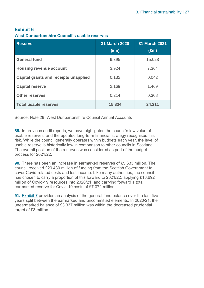#### **Exhibit 6**

**West Dunbartonshire Council's usable reserves**

| <b>Reserve</b>                               | 31 March 2020<br>$(\text{Em})$ | <b>31 March 2021</b><br>$(\text{Em})$ |
|----------------------------------------------|--------------------------------|---------------------------------------|
| <b>General fund</b>                          | 9.395                          | 15.028                                |
| <b>Housing revenue account</b>               | 3.924                          | 7.364                                 |
| <b>Capital grants and receipts unapplied</b> | 0.132                          | 0.042                                 |
| <b>Capital reserve</b>                       | 2.169                          | 1.469                                 |
| <b>Other reserves</b>                        | 0.214                          | 0.308                                 |
| <b>Total usable reserves</b>                 | 15,834                         | 24.211                                |

Source: Note 29, West Dunbartonshire Council Annual Accounts

**89.** In previous audit reports, we have highlighted the council's low value of usable reserves, and the updated long-term financial strategy recognises this risk. While the council generally operates within budgets each year, the level of usable reserve is historically low in comparison to other councils in Scotland. The overall position of the reserves was considered as part of the budget process for 2021/22.

**90.** There has been an increase in earmarked reserves of £5.633 million. The council received £20.430 million of funding from the Scottish Government to cover Covid-related costs and lost income. Like many authorities, the council has chosen to carry a proportion of this forward to 2021/22, applying £13.692 million of Covid-19 resources into 2020/21, and carrying forward a total earmarked reserve for Covid-19 costs of £7.072 million.

**91.** Exhibit 7 provides an analysis of the general fund balance over the last five years split between the earmarked and uncommitted elements. In 2020/21, the unearmarked balance of £3.337 million was within the decreased prudential target of £3 million.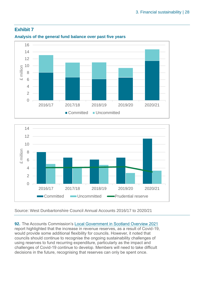#### **Exhibit 7**



#### **Analysis of the general fund balance over past five years**



Source: West Dunbartonshire Council Annual Accounts 2016/17 to 2020/21

**92.** The Accounts Commission's [Local Government in Scotland Overview 2021](https://www.audit-scotland.gov.uk/uploads/docs/report/2021/nr_210527_local_government_overview.pdf) report highlighted that the increase in revenue reserves, as a result of Covid-19, would provide some additional flexibility for councils. However, it noted that councils should continue to recognise the ongoing sustainability challenges of using reserves to fund recurring expenditure, particularly as the impact and challenges of Covid-19 continue to develop. Members will need to take difficult decisions in the future, recognising that reserves can only be spent once.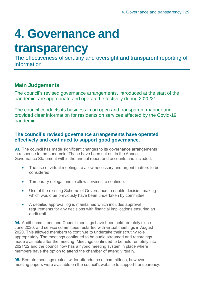## <span id="page-28-0"></span>**4. Governance and**

## **transparency**

The effectiveness of scrutiny and oversight and transparent reporting of information

### **Main Judgements**

The council's revised governance arrangements, introduced at the start of the pandemic, are appropriate and operated effectively during 2020/21.

The council conducts its business in an open and transparent manner and provided clear information for residents on services affected by the Covid-19 pandemic.

#### **The council's revised governance arrangements have operated effectively and continued to support good governance.**

**93.** The council has made significant changes to its governance arrangements in response to the pandemic. These have been set out in the Annual Governance Statement within the annual report and accounts and included:

- The use of virtual meetings to allow necessary and urgent matters to be considered.
- Temporary delegations to allow services to continue.
- Use of the existing Scheme of Governance to enable decision making which would be previously have been undertaken by committee.
- A detailed approval log is maintained which includes approval requirements for any decisions with financial implications ensuring an audit trail.

**94.** Audit committees and Council meetings have been held remotely since June 2020, and service committees restarted with virtual meetings in August 2020. This allowed members to continue to undertake their scrutiny role appropriately. The meetings continued to be audio streamed and recordings made available after the meeting. Meetings continued to be held remotely into 2021/22 and the council now has a hybrid meeting system in place where members have the option to attend the chamber of attend virtually.

**95.** Remote meetings restrict wider attendance at committees, however meeting papers were available on the council's website to support transparency.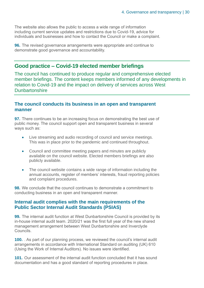The website also allows the public to access a wide range of information including current service updates and restrictions due to Covid-19, advice for individuals and businesses and how to contact the Council or make a complaint.

**96.** The revised governance arrangements were appropriate and continue to demonstrate good governance and accountability.

#### **Good practice – Covid-19 elected member briefings**

The council has continued to produce regular and comprehensive elected member briefings. The content keeps members informed of any developments in relation to Covid-19 and the impact on delivery of services across West Dunbartonshire

#### **The council conducts its business in an open and transparent manner**

**97.** There continues to be an increasing focus on demonstrating the best use of public money. The council support open and transparent business in several ways such as:

- Live streaming and audio recording of council and service meetings. This was in place prior to the pandemic and continued throughout.
- Council and committee meeting papers and minutes are publicly available on the council website. Elected members briefings are also publicly available.
- The council website contains a wide range of information including the annual accounts, register of members' interests, fraud reporting policies and complaint procedures.

**98.** We conclude that the council continues to demonstrate a commitment to conducting business in an open and transparent manner.

#### **Internal audit complies with the main requirements of the Public Sector Internal Audit Standards (PSIAS)**

**99.** The internal audit function at West Dunbartonshire Council is provided by its in-house internal audit team. 2020/21 was the first full year of the new shared management arrangement between West Dunbartonshire and Inverclyde Councils.

**100.** . As part of our planning process, we reviewed the council's internal audit arrangements in accordance with International Standard on auditing (UK) 610 (Using the Work of Internal Auditors). No issues were identified.

**101.** Our assessment of the internal audit function concluded that it has sound documentation and has a good standard of reporting procedures in place.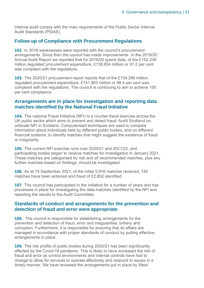Internal audit comply with the main requirements of the Public Sector Internal Audit Standards (PSIAS).

#### **Follow up of Compliance with Procurement Regulations**

**102.** In 2018 weaknesses were reported with the council's procurement arrangements. Since then the council has made improvements. In the 2019/20 Annual Audit Report we reported that for 2019/20 spend data, of the £152.239 million regulated procurement expenditure, £138.854 million or 91.2 per cent was compliant with the regulations.

**103.** The 2020/21 procurement report reports that of the £154.296 million regulated procurement expenditure, £151.863 million or 98.4 per cent was compliant with the regulations. The council is continuing to aim to achieve 100 per cent compliance.

#### **Arrangements are in place for investigation and reporting data matches identified by the National Fraud Initiative**

**104.** The national Fraud Initiative (NFI) is a counter-fraud exercise across the UK public sector which aims to prevent and detect fraud. Audit Scotland coordinate NFI in Scotland. Computerised techniques are used to compare information about individuals held by different public bodies, and on different financial systems, to identify matches that might suggest the existence of fraud or irregularity.

**105.** The current NFI exercise runs over 2020/21 and 2021/22, and participating bodies began to receive matches for investigation in January 2021. These matches are categorised by risk and all recommended matches, plus any further matches based on findings, should be investigated.

**106.** As at 15 September 2021, of the initial 5,916 matches received, 740 matches have been actioned and fraud of £2,802 identified.

**107.** The council has participated in the initiative for a number of years and has processes in place for investigating the data matches identified by the NFI and reporting the results to the Audit Committee.

#### **Standards of conduct and arrangements for the prevention and detection of fraud and error were appropriate**

**108.** The council is responsible for establishing arrangements for the prevention and detection of fraud, error and irregularities, bribery and corruption. Furthermore, it is responsible for ensuring that its affairs are managed in accordance with proper standards of conduct by putting effective arrangements in place.

**109.** The risk profile of public bodies during 2020/21 has been significantly affected by the Covid-19 pandemic. This is likely to have increased the risk of fraud and error as control environments and internal controls have had to change to allow for services to operate effectively and respond to issues in a timely manner. We have reviewed the arrangements put in place by West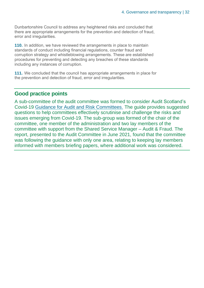Dunbartonshire Council to address any heightened risks and concluded that there are appropriate arrangements for the prevention and detection of fraud, error and irregularities.

**110.** In addition, we have reviewed the arrangements in place to maintain standards of conduct including financial regulations, counter fraud and corruption strategy and whistleblowing arrangements. These are established procedures for preventing and detecting any breaches of these standards including any instances of corruption.

**111.** We concluded that the council has appropriate arrangements in place for the prevention and detection of fraud, error and irregularities.

#### **Good practice points**

A sub-committee of the audit committee was formed to consider Audit Scotland's Covid-19 [Guidance for Audit and Risk Committees.](https://www.audit-scotland.gov.uk/report/covid-19-guide-for-audit-and-risk-committees) The guide provides suggested questions to help committees effectively scrutinise and challenge the risks and issues emerging from Covid-19. The sub-group was formed of the chair of the committee, one member of the administration and two lay members of the committee with support from the Shared Service Manager – Audit & Fraud. The report, presented to the Audit Committee in June 2021, found that the committee was following the guidance with only one area, relating to keeping lay members informed with members briefing papers, where additional work was considered.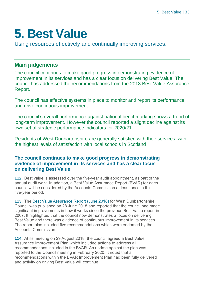## <span id="page-32-0"></span>**5. Best Value**

Using resources effectively and continually improving services.

### **Main judgements**

The council continues to make good progress in demonstrating evidence of improvement in its services and has a clear focus on delivering Best Value. The council has addressed the recommendations from the 2018 Best Value Assurance Report.

The council has effective systems in place to monitor and report its performance and drive continuous improvement.

The council's overall performance against national benchmarking shows a trend of long-term improvement. However the council reported a slight decline against its own set of strategic performance indicators for 2020/21.

Residents of West Dunbartonshire are generally satisfied with their services, with the highest levels of satisfaction with local schools in Scotland

#### **The council continues to make good progress in demonstrating evidence of improvement in its services and has a clear focus on delivering Best Value**

**112.** Best value is assessed over the five-year audit appointment, as part of the annual audit work. In addition, a Best Value Assurance Report (BVAR) for each council will be considered by the Accounts Commission at least once in this five-year period.

**113.** The [Best Value Assurance Report \(June 2018\)](https://www.audit-scotland.gov.uk/report/best-value-assurance-report-west-dunbartonshire-council) for West Dunbartonshire Council was published on 28 June 2018 and reported that the council had made significant improvements in how it works since the previous Best Value report in 2007. It highlighted that the council now demonstrates a focus on delivering Best Value and there was evidence of continuous improvement in its services. The report also included five recommendations which were endorsed by the Accounts Commission.

**114.** At its meeting on 29 August 2018, the council agreed a Best Value Assurance Improvement Plan which included actions to address all recommendations included in the BVAR. An update against the plan was reported to the Council meeting in February 2020. It noted that all recommendations within the BVAR Improvement Plan had been fully delivered and activity on driving Best Value will continue.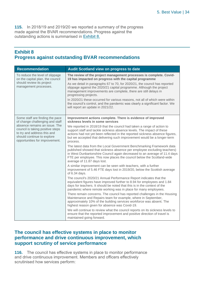**115.** In 2018/19 and 2019/20 we reported a summary of the progress made against the BVAR recommendations. Progress against the outstanding actions is summarised in [Exhibit 8.](#page-9-0)

#### **Exhibit 8 Progress against outstanding BVAR recommendations**

| <b>Recommendation</b>                                                                                                                                                                                                                  | Audit Scotland view on progress to date                                                                                                                                                                                                                                                                                                                                                                                                                                                                                                                                                                                                                                                                                                                                                                                                                                                                                                                                                                                                                                                                                                                                                                                                                                                                        |
|----------------------------------------------------------------------------------------------------------------------------------------------------------------------------------------------------------------------------------------|----------------------------------------------------------------------------------------------------------------------------------------------------------------------------------------------------------------------------------------------------------------------------------------------------------------------------------------------------------------------------------------------------------------------------------------------------------------------------------------------------------------------------------------------------------------------------------------------------------------------------------------------------------------------------------------------------------------------------------------------------------------------------------------------------------------------------------------------------------------------------------------------------------------------------------------------------------------------------------------------------------------------------------------------------------------------------------------------------------------------------------------------------------------------------------------------------------------------------------------------------------------------------------------------------------------|
| To reduce the level of slippage<br>on the capital plan, the council<br>should review its project<br>management processes.                                                                                                              | The review of the project management processes is complete. Covid-<br>19 has impacted on progress with the capital programme<br>As we detail in paragraphs 67 to 70, for 2020/21, the council has reported<br>slippage against the 2020/21 capital programme. Although the project<br>management improvements are complete, there are still delays in<br>progressing projects.<br>In 2020/21 these occurred for various reasons, not all of which were within<br>the council's control, and the pandemic was clearly a significant factor. We<br>will report an update in 2021/22.                                                                                                                                                                                                                                                                                                                                                                                                                                                                                                                                                                                                                                                                                                                             |
| Some staff are finding the pace<br>of change challenging and staff<br>absence remains an issue. The<br>council is taking positive steps<br>to try and address this and<br>should continue to explore<br>opportunities for improvement. | Improvement actions complete. There is evidence of improved<br>sickness levels in some services<br>We reported in 2018/19 that the council had taken a range of action to<br>support staff and tackle sickness absence levels. The impact of these<br>actions had not yet been reflected in the reported sickness absence figures,<br>but we accepted that delivering such improvement would be a longer-term<br>process.<br>The latest data from the Local Government Benchmarking Framework data<br>published showed that sickness absence per employee excluding teachers)<br>in West Dunbartonshire Council again decreased to an average of 11.4 days<br>FTE per employee. This now places the council below the Scotland-wide<br>average of 11.87 days lost.<br>A similar improvement can be seen with teachers, with a further<br>improvement of 5.46 FTE days lost in 2019/20, below the Scottish average<br>of 6.34 days.<br>The council's 2020/21 Annual Performance Report indicates that the<br>equivalent figures have improved further to 8.94 for employees and 1.84<br>days for teachers. It should be noted that this is in the context of the<br>pandemic where remote working was in place for many employees.<br>There remain concerns. The council has reported challenges in the Housing |
|                                                                                                                                                                                                                                        | Maintenance and Repairs team for example, where in September,<br>approximately 10% of the building services workforce was absent. The<br>highest reason given for absence was Covid-19.<br>We will continue to review what the council reports on its sickness levels to<br>ensure that the reported improvement and positive direction of travel is<br>maintained going forward.                                                                                                                                                                                                                                                                                                                                                                                                                                                                                                                                                                                                                                                                                                                                                                                                                                                                                                                              |

#### **The council has effective systems in place to monitor performance and drive continuous improvement, which support scrutiny of service performance**

**116.** The council has effective systems in place to monitor performance and drive continuous improvement. Members and officers effectively scrutinised how services perform: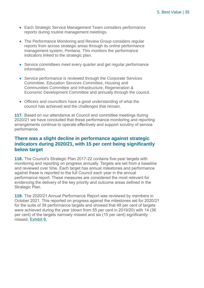- Each Strategic Service Management Team considers performance reports during routine management meetings.
- The Performance Monitoring and Review Group considers regular reports from across strategic areas through its online performance management system, Pentana. This monitors the performance indicators linked to the strategic plan.
- Service committees meet every quarter and get regular performance information.
- Service performance is reviewed through the Corporate Services Committee, Education Services Committee, Housing and Communities Committee and Infrastructure, Regeneration & Economic Development Committee and annually through the council.
- Officers and councillors have a good understanding of what the council has achieved and the challenges that remain.

**117.** Based on our attendance at Council and committee meetings during 2020/21 we have concluded that these performance monitoring and reporting arrangements continue to operate effectively and support scrutiny of service performance.

#### **There was a slight decline in performance against strategic indicators during 2020/21, with 15 per cent being significantly below target**

**118.** The Council's Strategic Plan 2017-22 contains five-year targets with monitoring and reporting on progress annually. Targets are set from a baseline and reviewed over time. Each target has annual milestones and performance against these is reported to the full Council each year in the annual performance report. These measures are considered the most relevant for evidencing the delivery of the key priority and outcome areas defined in the Strategic Plan.

**119.** The 2020/21 Annual Performance Report was reviewed by members in October 2021. This reported on progress against the milestones set for 2020/21 for the suite of 39 performance targets and showed that 49 per cent of targets were achieved during the year (down from 55 per cent in 2019/20) with 14 (36 per cent) of the targets narrowly missed and six (15 per cent) significantly missed, Exhibit 9.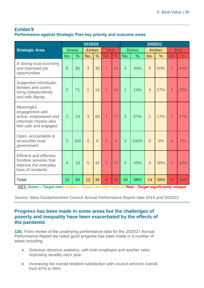#### **Exhibit 9 Performance against Strategic Plan key priority and outcome areas**

|                                                                                                          | 2019/20        |               |                                                            | 2020/21        |                |                |                |               |                |               |                 |               |
|----------------------------------------------------------------------------------------------------------|----------------|---------------|------------------------------------------------------------|----------------|----------------|----------------|----------------|---------------|----------------|---------------|-----------------|---------------|
| <b>Strategic Area</b>                                                                                    |                | <b>Green</b>  | <b>Red</b><br><b>Amber</b><br><b>Green</b><br><b>Amber</b> |                |                |                |                | <b>Red</b>    |                |               |                 |               |
|                                                                                                          | No.            | $\frac{0}{0}$ | No.                                                        | $\frac{0}{0}$  | No.            | $\frac{0}{0}$  | No.            | $\frac{0}{0}$ | No.            | $\frac{0}{0}$ | No.             | $\frac{9}{6}$ |
| A strong local economy<br>and improved job<br>opportunities                                              | 6              | 60            | 3                                                          | 30             | $\overline{1}$ | 10             | $\overline{4}$ | 40%           | 5              | 50%           | $\overline{1}$  | 10%           |
| Supported individuals,<br>families and carers<br>living independently<br>and with dignity                | 5              | 71            | $\overline{1}$                                             | 14             | $\overline{1}$ | 14             | $\overline{1}$ | 14%           | $\overline{4}$ | 57%           | $\overline{2}$  | 29%           |
| Meaningful<br>engagement with<br>active, empowered and<br>informed citizens who<br>feel safe and engaged | $\overline{2}$ | 33            | 3                                                          | 50             | $\overline{1}$ | 17             | $\overline{4}$ | 67%           | $\mathbf 1$    | 17%           | $\overline{1}$  | 17%           |
| Open, accountable &<br>accessible local<br>government                                                    | 5              | 100           | $\overline{0}$                                             | $\overline{0}$ | $\overline{0}$ | $\overline{0}$ | 5              | 100%          | $\overline{0}$ | 0%            | 0               | 0%            |
| <b>Efficient and effective</b><br>frontline services that<br>improve the everyday<br>lives of residents  | $\overline{4}$ | 33            | 5                                                          | 42             | 3              | 25             | 5              | 45%           | $\overline{4}$ | 36%           | $\overline{2}$  | 18%           |
| <b>Total</b>                                                                                             | 22             | 55            | 12                                                         | 30             | 6              | 15             | 19             | 49%           | 14             | 36%           | $6\phantom{1}6$ | 15%           |

**KEY: Green – Target met / Amber – Target narrowly missed / Red – Target significantly missed**

Source: West Dunbartonshire Council Annual Performance Report data 2019 and 2020/21

#### **Progress has been made in some areas but the challenges of poverty and inequality have been exacerbated by the effects of the pandemic**

**120.** From review of the underlying performance data for the 2020/21 Annual Performance Report we noted good progress has been made in a number of areas including:

- Sickness absence statistics, with both employee and teacher rates improving steadily each year
- increasing the overall resident satisfaction with council services overall, from 87% to 89%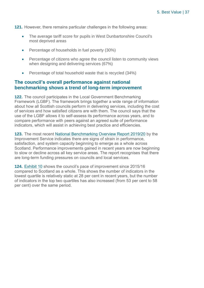**121.** However, there remains particular challenges in the following areas:

- The average tariff score for pupils in West Dunbartonshire Council's most deprived areas
- Percentage of households in fuel poverty (30%)
- Percentage of citizens who agree the council listen to community views when designing and delivering services (67%)
- Percentage of total household waste that is recycled (34%)

#### **The council's overall performance against national benchmarking shows a trend of long-term improvement**

**122.** The council participates in the Local Government Benchmarking Framework (LGBF). The framework brings together a wide range of information about how all Scottish councils perform in delivering services, including the cost of services and how satisfied citizens are with them. The council says that the use of the LGBF allows it to self-assess its performance across years, and to compare performance with peers against an agreed suite of performance indicators, which will assist in achieving best practice and efficiencies.

**123.** The most recent [National Benchmarking Overview Report 2019/20](https://www.improvementservice.org.uk/benchmarking/reports) by the Improvement Service indicates there are signs of strain in performance, satisfaction, and system capacity beginning to emerge as a whole across Scotland. Performance improvements gained in recent years are now beginning to slow or decline across all key service areas. The report recognises that there are long-term funding pressures on councils and local services.

**124.** Exhibit 10 shows the council's pace of improvement since 2015/16 compared to Scotland as a whole. This shows the number of indicators in the lowest quartile is relatively static at 28 per cent in recent years, but the number of indicators in the top two quartiles has also increased (from 53 per cent to 58 per cent) over the same period.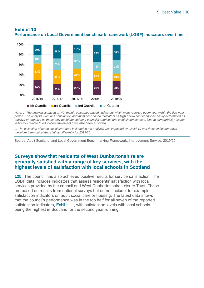

#### **Exhibit 10 Performance on Local Government benchmark framework (LGBF) indicators over time**

*Note: 1. The analysis is based on 40, mainly outcomes-based, indicators which were reported every year within the five-year period. The analysis excludes satisfaction and most cost-based indicators as high or low cost cannot be easily determined as positive or negative as these may be influenced by a council's priorities and local circumstances. Due to comparability issues, indicators related to education attainment have also been excluded.*

*2. The collection of some social care data included in the analysis was impacted by Covid-19 and these indicators have therefore been calculated slightly differently for 2019/20.*

Source: Audit Scotland; and Local Government Benchmarking Framework, Improvement Service, 2019/20

#### **Surveys show that residents of West Dunbartonshire are generally satisfied with a range of key services, with the highest levels of satisfaction with local schools in Scotland**

**125.** The council has also achieved positive results for service satisfaction. The LGBF data includes indicators that assess residents' satisfaction with local services provided by the council and West Dunbartonshire Leisure Trust. These are based on results from national surveys but do not include, for example, satisfaction indicators on adult social care or housing. The latest data shows that the council's performance was in the top half for all seven of the reported satisfaction indicators, Exhibit 11, with satisfaction levels with local schools being the highest in Scotland for the second year running.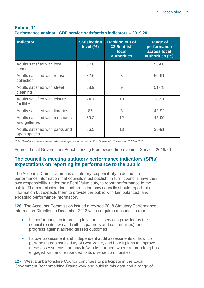#### **Exhibit 11 Performance against LGBF service satisfaction indicators – 2019/20**

| <b>Indicator</b>                               | <b>Satisfaction</b><br>level (%) | <b>Ranking out of</b><br><b>32 Scottish</b><br><b>local</b><br><b>authorities</b> | <b>Range of</b><br>performance<br>across local<br>authorities (%) |
|------------------------------------------------|----------------------------------|-----------------------------------------------------------------------------------|-------------------------------------------------------------------|
| Adults satisfied with local<br>schools         | 87.8                             | 1                                                                                 | 58-88                                                             |
| Adults satisfied with refuse<br>collection     | 82.6                             | 8                                                                                 | 56-91                                                             |
| Adults satisfied with street<br>cleaning       | 68.9                             | 9                                                                                 | 51-78                                                             |
| Adults satisfied with leisure<br>facilities    | 74.1                             | 10                                                                                | 38-91                                                             |
| Adults satisfied with libraries                | 85                               | 3                                                                                 | 49-92                                                             |
| Adults satisfied with museums<br>and galleries | 69.2                             | 12                                                                                | 43-90                                                             |
| Adults satisfied with parks and<br>open spaces | 86.5                             | 13                                                                                | 38-91                                                             |

*Note: Satisfaction levels are based on average responses to Scottish Household Surveys for 2017 to 2020..* 

Source: Local Government Benchmarking Framework, Improvement Service, 2019/20

#### **The council is meeting statutory performance indicators (SPIs) expectations on reporting its performance to the public**

The Accounts Commission has a statutory responsibility to define the performance information that councils must publish. In turn, councils have their own responsibility, under their Best Value duty, to report performance to the public. The commission does not prescribe how councils should report this information but expects them to provide the public with fair, balanced, and engaging performance information.

**126.** The Accounts Commission issued a revised 2018 Statutory Performance Information Direction in December 2018 which requires a council to report:

- Its performance in improving local public services provided by the council (on its own and with its partners and communities), and progress against agreed desired outcomes
- Its own assessment and independent audit assessments of how it is performing against its duty of Best Value, and how it plans to improve these assessments and how it (with its partners where appropriate) has engaged with and responded to its diverse communities.

**127.** West Dunbartonshire Council continues to participate in the Local Government Benchmarking Framework and publish this data and a range of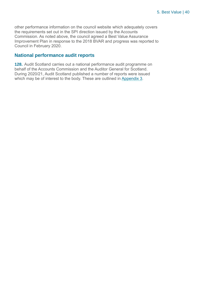other performance information on the council website which adequately covers the requirements set out in the SPI direction issued by the Accounts Commission. As noted above, the council agreed a Best Value Assurance Improvement Plan in response to the 2018 BVAR and progress was reported to Council in February 2020.

#### **National performance audit reports**

**128.** Audit Scotland carries out a national performance audit programme on behalf of the Accounts Commission and the Auditor General for Scotland. During 2020/21, Audit Scotland published a number of reports were issued which may be of interest to the body. These are outlined in [Appendix 3.](#page-51-0)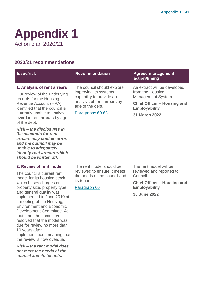## <span id="page-40-0"></span>**Appendix 1** Action plan 2020/21

#### **2020/21 recommendations**

| <b>Issue/risk</b>                                                                                                                                                                                                                                                                                                                                                                                                                                                                                                                                                       | <b>Recommendation</b>                                                                                                                                  | <b>Agreed management</b><br>action/timing                                                                                                                    |
|-------------------------------------------------------------------------------------------------------------------------------------------------------------------------------------------------------------------------------------------------------------------------------------------------------------------------------------------------------------------------------------------------------------------------------------------------------------------------------------------------------------------------------------------------------------------------|--------------------------------------------------------------------------------------------------------------------------------------------------------|--------------------------------------------------------------------------------------------------------------------------------------------------------------|
| 1. Analysis of rent arrears<br>Our review of the underlying<br>records for the Housing<br>Revenue Account (HRA)<br>identified that the council is<br>currently unable to analyse<br>overdue rent arrears by age<br>of the debt.<br>Risk – the disclosures in<br>the accounts for rent<br>arrears may contain errors,<br>and the council may be<br>unable to adequately<br>identify rent arrears which<br>should be written off.                                                                                                                                         | The council should explore<br>improving its systems<br>capability to provide an<br>analysis of rent arrears by<br>age of the debt.<br>Paragraphs 60-63 | An extract will be developed<br>from the Housing<br>Management System.<br><b>Chief Officer - Housing and</b><br><b>Employability</b><br><b>31 March 2022</b> |
| 2. Review of rent model<br>The council's current rent<br>model for its housing stock,<br>which bases charges on<br>property size, property type<br>and general quality was<br>implemented in June 2010 at<br>a meeting of the Housing,<br><b>Environment and Economic</b><br>Development Committee. At<br>that time, the committee<br>resolved that the model was<br>due for review no more than<br>10 years after<br>implementation, meaning that<br>the review is now overdue.<br>Risk – the rent model does<br>not meet the needs of the<br>council and its tenants. | The rent model should be<br>reviewed to ensure it meets<br>the needs of the council and<br>its tenants.<br>Paragraph 66                                | The rent model will be<br>reviewed and reported to<br>Council.<br><b>Chief Officer - Housing and</b><br><b>Employability</b><br>30 June 2022                 |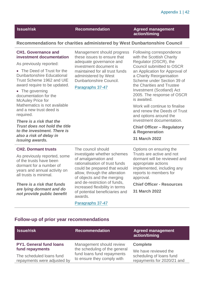| <b>Issue/risk</b> |
|-------------------|
|-------------------|

**Issue/risk Recommendation Agreed management action/timing**

#### **Recommendations for charities administered by West Dunbartonshire Council**

#### **CH1. Governance and investment documentation**

As previously reported:

• The Deed of Trust for the Dunbartonshire Educational Trust Scheme 1962 and UIE award require to be updated.

• The governing documentation for the McAuley Price for Mathematics is not available and a new trust deed is required.

*There is a risk that the Trust does not hold the title to the investment. There is also a risk of delay in issuing awards.* 

#### **CH2. Dormant trusts**

As previously reported, some of the trusts have been dormant for a number of years and annual activity on all trusts is minimal.

*There is a risk that funds are lying dormant and do not provide public benefit* Management should progress these issues to ensure that adequate governance and investment document is maintained for all trust funds administered by West Dunbartonshire Council.

Paragraphs 37-47

Following correspondence with the Scottish Charity Regulator (OSCR), the Council submitted to OSCR an Application for Approval of a Charity Reorganisation Scheme under Section 39 of the Charities and Trustee Investment (Scotland) Act 2005. The response of OSCR is awaited.

Work will continue to finalise and renew the Deeds of Trust and options around the investment documentation.

**Chief Officer – Regulatory & Regeneration**

**31 March 2022**

Options on ensuring the Trusts are active and not dormant will be reviewed and appropriate actions implemented, including any reports to members for approval.

**Chief Officer - Resources 31 March 2022**

awards. Paragraphs 37-47

The council should

of amalgamation and

investigate whether schemes

rationalisation of trust funds could be prepared that would allow, through the alteration of objects and the merging and de-restriction of funds, increased flexibility in terms of potential beneficiaries and

#### **Follow-up of prior year recommendations**

| <b>Issue/risk</b>                                       | <b>Recommendation</b>                                                                                                 | <b>Agreed management</b><br>action/timing                                                         |
|---------------------------------------------------------|-----------------------------------------------------------------------------------------------------------------------|---------------------------------------------------------------------------------------------------|
| <b>PY1. General fund loans</b><br>fund repayments       | Management should review<br>the scheduling of the general<br>fund loans fund repayments<br>to ensure they comply with | <b>Complete</b><br>We have reviewed the<br>scheduling of loans fund<br>repayments for 2020/21 and |
| The scheduled loans fund<br>repayments were adjusted by |                                                                                                                       |                                                                                                   |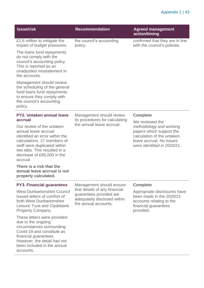### Appendix 1 | 43

| <b>Issue/risk</b>                                                                                                                                                                                                                                                                                                                                                                           | <b>Recommendation</b>                                                                                           | <b>Agreed management</b><br>action/timing                                                                                                                       |
|---------------------------------------------------------------------------------------------------------------------------------------------------------------------------------------------------------------------------------------------------------------------------------------------------------------------------------------------------------------------------------------------|-----------------------------------------------------------------------------------------------------------------|-----------------------------------------------------------------------------------------------------------------------------------------------------------------|
| £1.6 million to mitigate the<br>impact of budget pressures.<br>The loans fund repayments<br>do not comply with the<br>council's accounting policy.<br>This is reported as an<br>unadjusted misstatement in<br>the accounts.<br>Management should review<br>the scheduling of the general<br>fund loans fund repayments<br>to ensure they comply with<br>the council's accounting<br>policy. | the council's accounting<br>policy.                                                                             | confirmed that they are in line<br>with the council's policies.                                                                                                 |
| PY2. Untaken annual leave<br>accrual                                                                                                                                                                                                                                                                                                                                                        | Management should review<br>its procedures for calculating                                                      | <b>Complete</b>                                                                                                                                                 |
| Our review of the untaken<br>annual leave accrual<br>identified an error within the<br>calculations. 17 members of<br>staff were duplicated within<br>two tabs. This resulted in a<br>decrease of £85,000 in the<br>accrual.<br>There is a risk that the<br>annual leave accrual is not<br>properly calculated.                                                                             | the annual leave accrual.                                                                                       | We reviewed the<br>methodology and working<br>papers which support the<br>calculation of the untaken<br>leave accrual. No issues<br>were identified in 2020/21. |
| <b>PY3. Financial guarantees</b>                                                                                                                                                                                                                                                                                                                                                            | Management should ensure                                                                                        | <b>Complete</b>                                                                                                                                                 |
| <b>West Dunbartonshire Council</b><br>issued letters of comfort of<br>both West Dunbartonshire<br>Leisure Trust and Clydebank<br>Property Company.                                                                                                                                                                                                                                          | that details of any financial<br>guarantees provided are<br>adequately disclosed within<br>the annual accounts. | Appropriate disclosures have<br>been made in the 2020/21<br>accounts relating to the<br>financial guarantees<br>provided.                                       |
| These letters were provided<br>due to the ongoing<br>circumstances surrounding<br>Covid-19 and constitute as<br>financial guarantees.<br>However, the detail had not<br>been included in the annual<br>accounts.                                                                                                                                                                            |                                                                                                                 |                                                                                                                                                                 |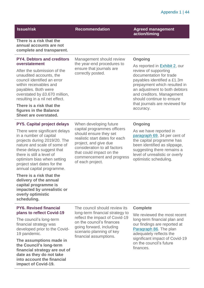| <b>Issue/risk</b>                                                                                                                                                                                                                                                                        | <b>Recommendation</b>                                                                                                                                                                                                         | <b>Agreed management</b><br>action/timing                                                                                                                                                                                                                                                        |
|------------------------------------------------------------------------------------------------------------------------------------------------------------------------------------------------------------------------------------------------------------------------------------------|-------------------------------------------------------------------------------------------------------------------------------------------------------------------------------------------------------------------------------|--------------------------------------------------------------------------------------------------------------------------------------------------------------------------------------------------------------------------------------------------------------------------------------------------|
| There is a risk that the<br>annual accounts are not<br>complete and transparent.                                                                                                                                                                                                         |                                                                                                                                                                                                                               |                                                                                                                                                                                                                                                                                                  |
| <b>PY4. Debtors and creditors</b><br>overstatement                                                                                                                                                                                                                                       | Management should review<br>the year-end procedures to                                                                                                                                                                        | Ongoing                                                                                                                                                                                                                                                                                          |
| After the submission of the<br>unaudited accounts, the<br>council identified an error<br>within receivables and<br>payables. Both were<br>overstated by £0.670 million,<br>resulting in a nil net effect.<br>There is a risk that the<br>figures in the Balance<br>Sheet are overstated. | ensure that journals are<br>correctly posted.                                                                                                                                                                                 | As reported in <b>Exhibit 2, our</b><br>review of supporting<br>documentation for trade<br>payables identified a £1.3m<br>prepayment which resulted in<br>an adjustment to both debtors<br>and creditors. Management<br>should continue to ensure<br>that journals are reviewed for<br>accuracy. |
| <b>PY5. Capital project delays</b>                                                                                                                                                                                                                                                       | When developing future                                                                                                                                                                                                        | Ongoing                                                                                                                                                                                                                                                                                          |
| There were significant delays<br>in a number of capital<br>projects during 2019/20. The<br>nature and scale of some of<br>these delays suggest that<br>there is still a level of<br>optimism bias when setting<br>project start dates for the<br>annual capital programme.               | capital programmes officers<br>should ensure they set<br>realistic start dates for each<br>project, and give due<br>consideration to all factors<br>that could impact on the<br>commencement and progress<br>of each project. | As we have reported in<br>paragraph 69, 34 per cent of<br>the capital programme has<br>been identified as slippage,<br>suggesting there remains a<br>level of unrealistic or overly<br>optimistic scheduling.                                                                                    |
| There is a risk that the<br>delivery of the annual<br>capital programme is<br>impacted by unrealistic or<br>overly optimistic<br>scheduling.                                                                                                                                             |                                                                                                                                                                                                                               |                                                                                                                                                                                                                                                                                                  |
| <b>PY6. Revised financial</b><br>plans to reflect Covid-19                                                                                                                                                                                                                               | The council should review its<br>long-term financial strategy to                                                                                                                                                              | <b>Complete</b>                                                                                                                                                                                                                                                                                  |
| The council's long-term<br>financial strategy was<br>developed prior to the Covid-<br>19 pandemic.                                                                                                                                                                                       | reflect the impact of Covid-19<br>on the council's finances<br>going forward, including<br>scenario planning of key<br>financial assumptions.                                                                                 | We reviewed the most recent<br>long-term financial plan and<br>our findings are reported at<br>Paragraph 86. The plan<br>adequately reflects the<br>significant impact of Covid-19<br>on the council's future<br>finances.                                                                       |
| The assumptions made in<br>the Council's long-term<br>financial strategy are out of<br>date as they do not take<br>into account the financial<br>impact of Covid-19.                                                                                                                     |                                                                                                                                                                                                                               |                                                                                                                                                                                                                                                                                                  |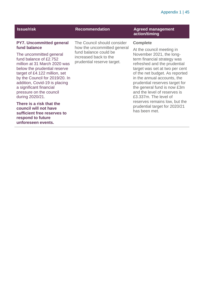#### Appendix 1 | 45

prudential target for 2020/21

has been met.

| <b>Issue/risk</b>                                                                                                                                                                                                                                                                                                                                 | <b>Recommendation</b>                                                                                                                      | <b>Agreed management</b><br>action/timing                                                                                                                                                                                                                                                                                                                            |
|---------------------------------------------------------------------------------------------------------------------------------------------------------------------------------------------------------------------------------------------------------------------------------------------------------------------------------------------------|--------------------------------------------------------------------------------------------------------------------------------------------|----------------------------------------------------------------------------------------------------------------------------------------------------------------------------------------------------------------------------------------------------------------------------------------------------------------------------------------------------------------------|
| <b>PY7. Uncommitted general</b><br>fund balance<br>The uncommitted general<br>fund balance of £2,752<br>million at 31 March 2020 was<br>below the prudential reserve<br>target of £4.122 million, set<br>by the Council for 2019/20. In<br>addition, Covid-19 is placing<br>a significant financial<br>pressure on the council<br>during 2020/21. | The Council should consider<br>how the uncommitted general<br>fund balance could be<br>increased back to the<br>prudential reserve target. | <b>Complete</b><br>At the council meeting in<br>November 2021, the long-<br>term financial strategy was<br>refreshed and the prudential<br>target was set at two per cent<br>of the net budget. As reported<br>in the annual accounts, the<br>prudential reserves target for<br>the general fund is now £3m<br>and the level of reserves is<br>£3.337m. The level of |
| Thara is a risk that tha                                                                                                                                                                                                                                                                                                                          |                                                                                                                                            | reserves remains low, but the                                                                                                                                                                                                                                                                                                                                        |

**There is a risk that the council will not have sufficient free reserves to respond to future unforeseen events.**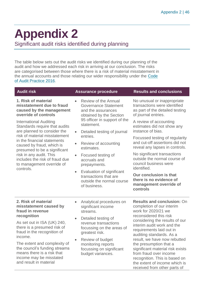# <span id="page-45-0"></span>**Appendix 2**

Significant audit risks identified during planning

The table below sets out the audit risks we identified during our planning of the audit and how we addressed each risk in arriving at our conclusion. The risks are categorised between those where there is a risk of material misstatement in the annual accounts and those relating our wider responsibility under the [Code](http://www.audit-scotland.gov.uk/report/code-of-audit-practice-2016)  [of Audit Practice 2016.](http://www.audit-scotland.gov.uk/report/code-of-audit-practice-2016)

#### **Audit risk Assurance procedure Results and conclusions**

**1. Risk of material misstatement due to fraud caused by the management override of controls**

International Auditing Standards require that audits are planned to consider the risk of material misstatement in the financial statements caused by fraud, which is presumed to be a significant risk in any audit. This includes the risk of fraud due to management override of controls.

• Review of the Annual Governance Statement and the assurances obtained by the Section 95 officer in support of the statement.

- Detailed testing of journal entries.
- Review of accounting estimates.
- Focused testing of accruals and prepayments.
- Evaluation of significant transactions that are outside the normal course of business.

No unusual or inappropriate transactions were identified as part of the detailed testing of journal entries.

A review of accounting estimates did not show any instance of bias.

Focussed testing of regularity and cut-off assertions did not reveal any lapses in controls.

No significant transactions outside the normal course of council business were identified.

**Our conclusion is that there is no evidence of management override of controls**

#### **2. Risk of material misstatement caused by fraud in revenue recognition**

As set out in ISA (UK) 240, there is a presumed risk of fraud in the recognition of income.

The extent and complexity of the council's funding streams means there is a risk that income may be misstated and result in material

- Analytical procedures on significant income streams.
- Detailed testing of revenue transactions focussing on the areas of greatest risk.
- Review of budget monitoring reports focussing on significant budget variances.

**Results and conclusion:** On completion of our interim work for 2020/21 we reconsidered this risk considering the results of our interim audit work and the requirements laid out in auditing standards. As a result, we have now rebutted the presumption that a significant material risk exists from fraud over income recognition. This is based on the extent of income which is received from other parts of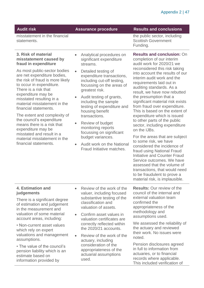|  | Andit risk |  |
|--|------------|--|

misstatement in the financial statements.

#### **3. Risk of material misstatement caused by fraud in expenditure**

As most public-sector bodies are net expenditure bodies, the risk of fraud is more likely to occur in expenditure. There is a risk that expenditure may be misstated resulting in a material misstatement in the financial statements.

The extent and complexity of the council's expenditure means there is a risk that expenditure may be misstated and result in a material misstatement in the financial statements.

- Analytical procedures on significant expenditure streams.
- Detailed testing of expenditure transactions, including cut-off testing, focussing on the areas of greatest risk.
- Audit testing of grants, including the sample testing of expenditure and housing benefit transactions.
- Review of budget monitoring reports focussing on significant budget variances.
- Audit work on the National Fraud Initiative matches.

#### Assurance procedure **Results and conclusions**

the public sector, including Scottish Government Funding.

**Results and conclusion:** On completion of our interim audit work for 2020/21 we reconsidered this risk taking into account the results of our interim audit work and the requirements laid out in auditing standards. As a result, we have now rebutted the presumption that a significant material risk exists from fraud over expenditure. This is based on the extent of expenditure which is issued to other parts of the public sector, including expenditure on the IJBs.

For the areas that are subject to some risk, we have considered the incidence of fraud using National Fraud Initiative and Counter Fraud Service outcomes. We have assessed that the volume of transactions, that would need to be fraudulent to prove a material risk, is implausible.

#### **4. Estimation and judgements**

There is a significant degree of estimation and judgement in the measurement and valuation of some material account areas, including:

• Non-current asset values which rely on expert valuations and management assumptions.

• The value of the council's pension liability which is an estimate based on information provided by

- Review of the work of the valuer, including focused substantive testing of the classification and valuation of assets.
- Confirm asset values in valuation certificates are correctly reflected within the 2020/21 accounts.
- Review of the work of the actuary, including consideration of the appropriateness of the actuarial assumptions used.

**Results:** Our review of the council of the internal and external valuation team confirmed the appropriateness of the methodology and assumptions used.

We assessed the reliability of the actuary and reviewed their work. No issues were noted.

Pension disclosures agreed in full to information from actuaries, or to financial records where applicable. This included verification of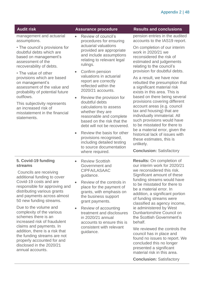| management and actuarial<br>assumptions.<br>• The council's provisions for<br>doubtful debts which are<br>based on management's<br>assessment of the<br>recoverability of debts.<br>• The value of other<br>provisions which are based<br>on management's<br>assessment of the value and<br>probability of potential future<br>outflows.<br>This subjectivity represents<br>an increased risk of<br>misstatement in the financial<br>statements.                                                                                         | $\bullet$<br>$\bullet$ | Review of council's<br>procedures for ensuring<br>actuarial valuations<br>provided are appropriate<br>and include assumptions<br>relating to relevant legal<br>rulings.<br>Confirm pension<br>valuations in actuarial<br>report are correctly<br>reflected within the<br>2020/21 accounts.<br>Review the provision for<br>doubtful debts<br>calculations to assess<br>whether they are<br>reasonable and complete | pension entries in the audited<br>accounts to the IAS19 report.<br>On completion of our interim<br>work in 2020/21 we<br>reconsidered the risk of<br>estimated and judgements<br>relating to the council's<br>provision for doubtful debts.<br>As a result, we have now<br>rebutted the presumption that<br>a significant material risk<br>exists in this area. This is<br>based on there being several<br>provisions covering different<br>account areas (e.g. council<br>tax and housing) that are<br>individually immaterial. All<br>such provisions would have<br>to be misstated for there to<br>be a material error, given the<br>historical lack of issues with<br>these estimates, this is<br>unlikely.<br><b>Conclusion: Satisfactory</b> |
|------------------------------------------------------------------------------------------------------------------------------------------------------------------------------------------------------------------------------------------------------------------------------------------------------------------------------------------------------------------------------------------------------------------------------------------------------------------------------------------------------------------------------------------|------------------------|-------------------------------------------------------------------------------------------------------------------------------------------------------------------------------------------------------------------------------------------------------------------------------------------------------------------------------------------------------------------------------------------------------------------|----------------------------------------------------------------------------------------------------------------------------------------------------------------------------------------------------------------------------------------------------------------------------------------------------------------------------------------------------------------------------------------------------------------------------------------------------------------------------------------------------------------------------------------------------------------------------------------------------------------------------------------------------------------------------------------------------------------------------------------------------|
|                                                                                                                                                                                                                                                                                                                                                                                                                                                                                                                                          |                        | based on the risk that the<br>debt will not be recovered.<br>Review the basis for other<br>provisions recognised,<br>including detailed testing<br>to source documentation<br>where required.                                                                                                                                                                                                                     |                                                                                                                                                                                                                                                                                                                                                                                                                                                                                                                                                                                                                                                                                                                                                    |
| 5. Covid-19 funding<br><b>streams</b><br>Councils are receiving<br>additional funding to cover<br>Covid-19 costs and are<br>responsible for approving and<br>distributing various grants<br>and payments across almost<br>50 new funding streams.<br>Due to the volume and<br>complexity of the various<br>schemes there is an<br>increased risk of fraudulent<br>claims and payments. In<br>addition, there is a risk that<br>the funding streams are not<br>properly accounted for and<br>disclosed in the 2020/21<br>annual accounts. | $\bullet$<br>$\bullet$ | <b>Review Scottish</b><br>Government and<br><b>CIPFA/LASAAC</b><br>guidance.<br>Review of the controls in<br>place for the payment of<br>grants, with emphasis on<br>the business support<br>grant payments.<br>Review of accounting<br>treatment and disclosures<br>in 2020/21 annual<br>accounts to ensure this is<br>consistent with relevant<br>guidance.                                                     | <b>Results: On completion of</b><br>our interim work for 2020/21<br>we reconsidered this risk.<br>Significant amount of these<br>funding streams would have<br>to be misstated for there to<br>be a material error. In<br>addition, a significant portion<br>of funding streams were<br>classified as agency income,<br>ie administered by West<br>Dunbartonshire Council on<br>the Scottish Government's<br>behalf.<br>We reviewed the controls the<br>council has in place and<br>found no issues to report. We<br>concluded this no longer<br>presented a significant<br>material risk in this area.                                                                                                                                            |

**Audit risk Assurance procedure Results and conclusions**

**Conclusion:** Satisfactory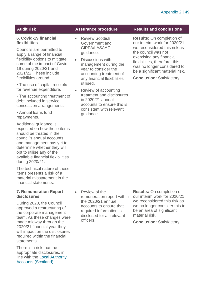#### **6. Covid-19 financial flexibilities**

Councils are permitted to apply a range of financial flexibility options to mitigate some of the impact of Covid-19 during 2020/21 and 2021/22. These include flexibilities around:

• The use of capital receipts for revenue expenditure.

• The accounting treatment of debt included in service concession arrangements.

• Annual loans fund repayments.

Additional guidance is expected on how these items should be treated in the council's annual accounts and management has yet to determine whether they will opt to utilise any of the available financial flexibilities during 2020/21.

The technical nature of these items presents a risk of a material misstatement in the financial statements.

#### **7. Remuneration Report disclosures**

During 2020, the Council approved a restructuring of the corporate management team. As these changes were made midway through the 2020/21 financial year they will impact on the disclosures required within the financial statements.

There is a risk that the appropriate disclosures, in line with the [Local Authority](https://www.legislation.gov.uk/ssi/2014/200/contents/made)  [Accounts \(Scotland\)](https://www.legislation.gov.uk/ssi/2014/200/contents/made) 

- Review Scottish Government and CIPFA/LASAAC guidance.
- Discussions with management during the year to consider the accounting treatment of any financial flexibilities utilised.
- Review of accounting treatment and disclosures in 2020/21 annual accounts to ensure this is consistent with relevant guidance.

#### **Audit risk Assurance procedure Results and conclusions**

**Results:** On completion of our interim work for 2020/21 we reconsidered this risk as the council was not exercising any financial flexibilities, therefore, this was no longer considered to be a significant material risk.

**Conclusion:** Satisfactory

• Review of the remuneration report within the 2020/21 annual accounts to ensure that required information is disclosed for all relevant officers.

**Results:** On completion of our interim work for 2020/21 we reconsidered this risk as we no longer consider this to be an area of significant material risk.

**Conclusion:** Satisfactory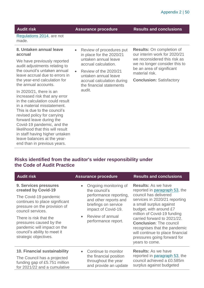**Audit risk Assurance procedure Results and conclusions**

[Regulations 2014,](https://www.legislation.gov.uk/ssi/2014/200/contents/made) are not made.

#### **8. Untaken annual leave accrual**

We have previously reported audit adjustments relating to the council's untaken annual leave accrual due to errors in the year-end calculation for the annual accounts.

In 2020/21, there is an increased risk that any error in the calculation could result in a material misstatement. This is due to the council's revised policy for carrying forward leave during the Covid-19 pandemic, and the likelihood that this will result in staff having higher untaken leave balances at the yearend than in previous years.

- Review of procedures put in place for the 2020/21 untaken annual leave accrual calculation.
- Review of the 2020/21 untaken annual leave accrual calculation during the financial statements audit.

**Results:** On completion of our interim work for 2020/21 we reconsidered this risk as we no longer consider this to be an area of significant material risk.

**Conclusion:** Satisfactory

#### **Risks identified from the auditor's wider responsibility under the Code of Audit Practice**

| <b>Audit risk</b>                                                                                                                         | <b>Assurance procedure</b>                                                                                                                | <b>Results and conclusions</b>                                                                                                                                                                                                                                                                                                                                                                  |
|-------------------------------------------------------------------------------------------------------------------------------------------|-------------------------------------------------------------------------------------------------------------------------------------------|-------------------------------------------------------------------------------------------------------------------------------------------------------------------------------------------------------------------------------------------------------------------------------------------------------------------------------------------------------------------------------------------------|
| 9. Services pressures<br>created by Covid-19                                                                                              | Ongoing monitoring of<br>the council's                                                                                                    | <b>Results:</b> As we have<br>reported in paragraph 53, the<br>council has delivered<br>services in 2020/21 reporting<br>a small surplus against<br>budget, with around £7<br>million of Covid-19 funding<br>carried forward to 2021/22.<br><b>Conclusion: The council</b><br>recognises that the pandemic<br>will continue to place financial<br>pressures going forward for<br>years to come. |
| The Covid-19 pandemic<br>continues to place significant<br>pressure on the provision of<br>council services.                              | performance reporting,<br>and other reports and<br>briefings on service<br>impact of Covid-19.<br>Review of annual<br>performance report. |                                                                                                                                                                                                                                                                                                                                                                                                 |
| There is risk that the<br>pressures caused by the<br>pandemic will impact on the<br>council's ability to meet it<br>strategic objectives. |                                                                                                                                           |                                                                                                                                                                                                                                                                                                                                                                                                 |
| 10. Financial sustainability<br>The Council has a projected<br>funding gap of £5.751 million<br>for 2021/22 and a cumulative              | Continue to monitor<br>$\bullet$<br>the financial position<br>throughout the year<br>and provide an update                                | <b>Results: As we have</b><br>reported in paragraph 53, the<br>council achieved a £0.585m<br>surplus against budgeted                                                                                                                                                                                                                                                                           |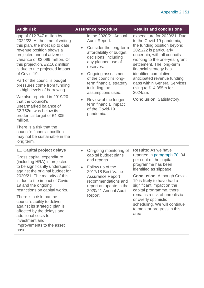gap of £12.747 million by 2022/23. At the time of writing this plan, the most up to date revenue position shows a projected annual adverse variance of £2.099 million. Of this projection, £2.102 million is due to the projected impact of Covid-19.

Part of the council's budget pressures come from funding its high levels of borrowing.

We also reported in 2019/20 that the Council's unearmarked balance of £2.752m was below its prudential target of £4.305 million.

There is a risk that the council's financial position may not be sustainable in the long term.

#### **11. Capital project delays**

Gross capital expenditure (including HRA) is projected to be significantly underspent against the original budget for 2020/21. The majority of this is due to the impact of Covid-19 and the ongoing restrictions on capital works.

There is a risk that the council's ability to deliver against its strategic plan is affected by the delays and additional costs for investment and improvements to the asset base.

in the 2020/21 Annual Audit Report.

- Consider the long-term affordability of budget decisions, including any planned use of reserves.
- Ongoing assessment of the council's longterm financial strategy, including the assumptions used.
- Review of the longerterm financial impact of the Covid-19 pandemic.

#### **Audit risk Assurance procedure Results and conclusions**

expenditure for 2020/21. Due to the Covid-19 pandemic, the funding position beyond 2021/22 is particularly uncertain, with all councils working to the one-year grant settlement. The long-term financial strategy has identified cumulative anticipated revenue funding gaps within General Services rising to £14.355m for 2024/25.

**Conclusion**: Satisfactory.

- On-going monitoring of capital budget plans and reports.
- Follow up of the 2017/18 Best Value Assurance Report recommendations and report an update in the 2020/21 Annual Audit Report.

**Results:** As we have reported in paragraph 70, 34 per cent of the capital programme has been identified as slippage,

**Conclusion**: Although Covid-19 is likely to have had a significant impact on the capital programme, there remains a risk of unrealistic or overly optimistic scheduling. We will continue to monitor progress in this area.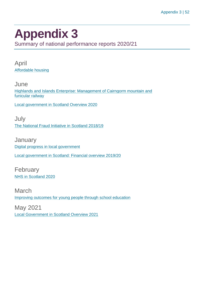## <span id="page-51-0"></span>**Appendix 3**

Summary of national performance reports 2020/21

April [Affordable housing](https://www.audit-scotland.gov.uk/report/affordable-housing)

**June** [Highlands and Islands Enterprise: Management of Cairngorm mountain and](https://www.audit-scotland.gov.uk/report/highlands-and-islands-enterprise-management-of-cairngorm-mountain-and-funicular-railway)  [funicular railway](https://www.audit-scotland.gov.uk/report/highlands-and-islands-enterprise-management-of-cairngorm-mountain-and-funicular-railway)

[Local government in Scotland Overview 2020](https://www.audit-scotland.gov.uk/report/local-government-in-scotland-overview-2020)

July [The National Fraud Initiative in Scotland 2018/19](https://www.audit-scotland.gov.uk/report/the-national-fraud-initiative-in-scotland-201819)

**January** [Digital progress in local government](https://www.audit-scotland.gov.uk/report/digital-progress-in-local-government) [Local government in Scotland: Financial overview 2019/20](https://www.audit-scotland.gov.uk/report/local-government-in-scotland-financial-overview-201920)

February [NHS in Scotland 2020](https://www.audit-scotland.gov.uk/report/nhs-in-scotland-2020)

March [Improving outcomes for young people through school education](https://www.audit-scotland.gov.uk/report/improving-outcomes-for-young-people-through-school-education)

May 2021 [Local Government in Scotland Overview 2021](https://www.audit-scotland.gov.uk/report/local-government-in-scotland-overview-2021)